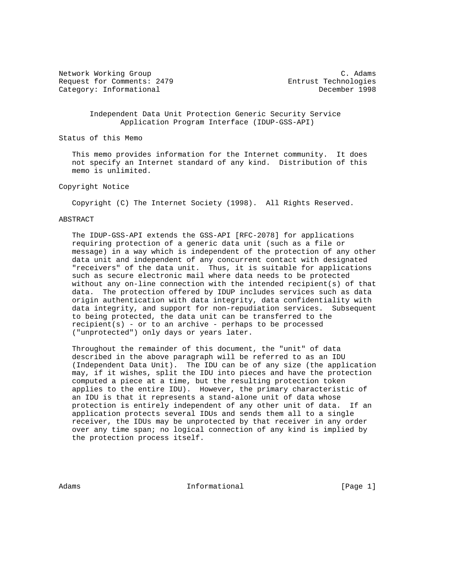Network Working Group C. Adams Request for Comments: 2479 Entrust Technologies Category: Informational December 1998

 Independent Data Unit Protection Generic Security Service Application Program Interface (IDUP-GSS-API)

Status of this Memo

 This memo provides information for the Internet community. It does not specify an Internet standard of any kind. Distribution of this memo is unlimited.

Copyright Notice

Copyright (C) The Internet Society (1998). All Rights Reserved.

#### ABSTRACT

 The IDUP-GSS-API extends the GSS-API [RFC-2078] for applications requiring protection of a generic data unit (such as a file or message) in a way which is independent of the protection of any other data unit and independent of any concurrent contact with designated "receivers" of the data unit. Thus, it is suitable for applications such as secure electronic mail where data needs to be protected without any on-line connection with the intended recipient(s) of that data. The protection offered by IDUP includes services such as data origin authentication with data integrity, data confidentiality with data integrity, and support for non-repudiation services. Subsequent to being protected, the data unit can be transferred to the recipient(s) - or to an archive - perhaps to be processed ("unprotected") only days or years later.

 Throughout the remainder of this document, the "unit" of data described in the above paragraph will be referred to as an IDU (Independent Data Unit). The IDU can be of any size (the application may, if it wishes, split the IDU into pieces and have the protection computed a piece at a time, but the resulting protection token applies to the entire IDU). However, the primary characteristic of an IDU is that it represents a stand-alone unit of data whose protection is entirely independent of any other unit of data. If an application protects several IDUs and sends them all to a single receiver, the IDUs may be unprotected by that receiver in any order over any time span; no logical connection of any kind is implied by the protection process itself.

Adams **Informational Informational Informational** [Page 1]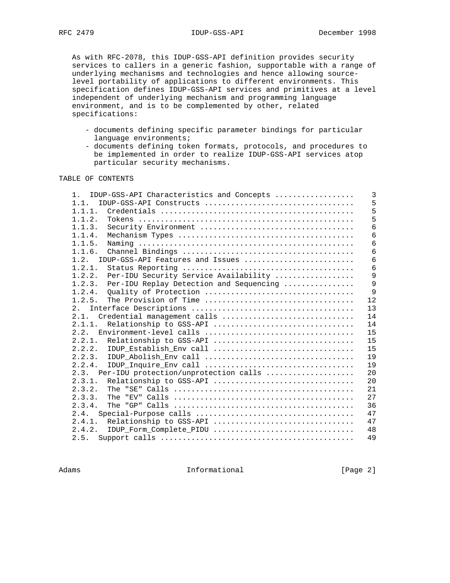As with RFC-2078, this IDUP-GSS-API definition provides security services to callers in a generic fashion, supportable with a range of underlying mechanisms and technologies and hence allowing source level portability of applications to different environments. This specification defines IDUP-GSS-API services and primitives at a level independent of underlying mechanism and programming language environment, and is to be complemented by other, related specifications:

- documents defining specific parameter bindings for particular language environments;
- documents defining token formats, protocols, and procedures to be implemented in order to realize IDUP-GSS-API services atop particular security mechanisms.

# TABLE OF CONTENTS

| $1 \quad$ | IDUP-GSS-API Characteristics and Concepts  | 3  |
|-----------|--------------------------------------------|----|
| 1.1.      | IDUP-GSS-API Constructs                    | 5  |
| 1.1.1.    |                                            | 5  |
| 1.1.2.    |                                            | 5  |
| 1.1.3.    | Security Environment                       | 6  |
| 1.1.4.    |                                            | 6  |
| 1.1.5.    |                                            | 6  |
| 1.1.6.    |                                            | 6  |
| 1.2.      | IDUP-GSS-API Features and Issues           | 6  |
| 1.2.1.    |                                            | 6  |
| 1.2.2.    | Per-IDU Security Service Availability      | 9  |
| 1.2.3.    | Per-IDU Replay Detection and Sequencing    | 9  |
| 1.2.4.    | Quality of Protection                      | 9  |
| 1.2.5.    | The Provision of Time                      | 12 |
| 2.1       |                                            | 13 |
| 2.1.      | Credential management calls                | 14 |
| 2.1.1.    | Relationship to GSS-API                    | 14 |
|           | 15                                         |    |
| 2.2.1.    | 15<br>Relationship to GSS-API              |    |
| 2, 2, 2,  | 15<br>IDUP_Establish_Env call              |    |
| 2.2.3.    |                                            | 19 |
| 2.2.4.    | 19                                         |    |
|           | 2.3. Per-IDU protection/unprotection calls | 20 |
| 2.3.1.    | Relationship to GSS-API                    | 20 |
| 2.3.2.    |                                            | 21 |
| 2.3.3.    |                                            | 27 |
| 2.3.4.    |                                            | 36 |
| 2.4.      |                                            | 47 |
| 2.4.1.    | Relationship to GSS-API                    | 47 |
| 2.4.2.    | IDUP_Form_Complete_PIDU                    | 48 |
| 2.5.      |                                            | 49 |
|           |                                            |    |

Adams **Informational Informational** [Page 2]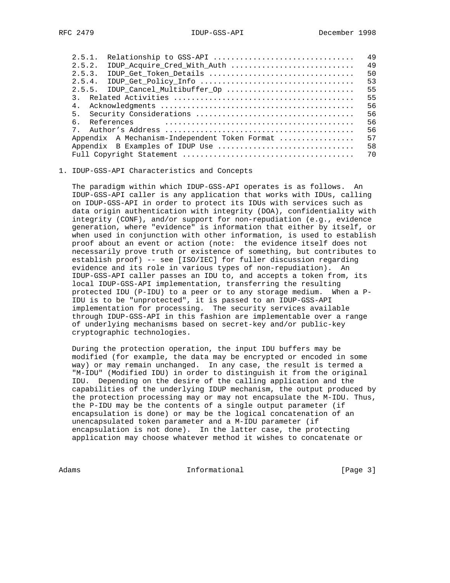| 2.5.1.         | Relationship to GSS-API                       | 49 |
|----------------|-----------------------------------------------|----|
| 2.5.2.         | IDUP Acquire_Cred_With_Auth                   | 49 |
| 2.5.3.         | IDUP Get_Token_Details                        | 50 |
| 2.5.4.         |                                               | 53 |
|                | 2.5.5. IDUP Cancel_Multibuffer_Op             | 55 |
|                |                                               | 55 |
| 4.             |                                               | 56 |
| 5 <sub>1</sub> |                                               | 56 |
| ნ.             | References                                    | 56 |
| $7^{\circ}$    |                                               | 56 |
|                | Appendix A Mechanism-Independent Token Format | 57 |
|                | Appendix B Examples of IDUP Use               | 58 |
|                |                                               | 70 |
|                |                                               |    |

#### 1. IDUP-GSS-API Characteristics and Concepts

 The paradigm within which IDUP-GSS-API operates is as follows. An IDUP-GSS-API caller is any application that works with IDUs, calling on IDUP-GSS-API in order to protect its IDUs with services such as data origin authentication with integrity (DOA), confidentiality with integrity (CONF), and/or support for non-repudiation (e.g., evidence generation, where "evidence" is information that either by itself, or when used in conjunction with other information, is used to establish proof about an event or action (note: the evidence itself does not necessarily prove truth or existence of something, but contributes to establish proof) -- see [ISO/IEC] for fuller discussion regarding evidence and its role in various types of non-repudiation). An IDUP-GSS-API caller passes an IDU to, and accepts a token from, its local IDUP-GSS-API implementation, transferring the resulting protected IDU (P-IDU) to a peer or to any storage medium. When a P- IDU is to be "unprotected", it is passed to an IDUP-GSS-API implementation for processing. The security services available through IDUP-GSS-API in this fashion are implementable over a range of underlying mechanisms based on secret-key and/or public-key cryptographic technologies.

 During the protection operation, the input IDU buffers may be modified (for example, the data may be encrypted or encoded in some way) or may remain unchanged. In any case, the result is termed a "M-IDU" (Modified IDU) in order to distinguish it from the original IDU. Depending on the desire of the calling application and the capabilities of the underlying IDUP mechanism, the output produced by the protection processing may or may not encapsulate the M-IDU. Thus, the P-IDU may be the contents of a single output parameter (if encapsulation is done) or may be the logical concatenation of an unencapsulated token parameter and a M-IDU parameter (if encapsulation is not done). In the latter case, the protecting application may choose whatever method it wishes to concatenate or

Adams 1nformational 1999 [Page 3]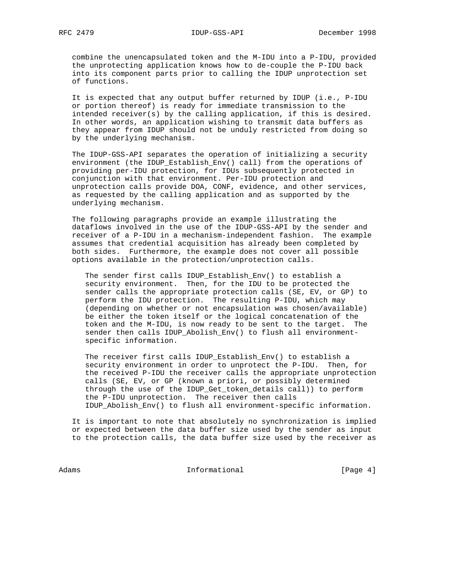combine the unencapsulated token and the M-IDU into a P-IDU, provided the unprotecting application knows how to de-couple the P-IDU back into its component parts prior to calling the IDUP unprotection set of functions.

 It is expected that any output buffer returned by IDUP (i.e., P-IDU or portion thereof) is ready for immediate transmission to the intended receiver(s) by the calling application, if this is desired. In other words, an application wishing to transmit data buffers as they appear from IDUP should not be unduly restricted from doing so by the underlying mechanism.

 The IDUP-GSS-API separates the operation of initializing a security environment (the IDUP\_Establish\_Env() call) from the operations of providing per-IDU protection, for IDUs subsequently protected in conjunction with that environment. Per-IDU protection and unprotection calls provide DOA, CONF, evidence, and other services, as requested by the calling application and as supported by the underlying mechanism.

 The following paragraphs provide an example illustrating the dataflows involved in the use of the IDUP-GSS-API by the sender and receiver of a P-IDU in a mechanism-independent fashion. The example assumes that credential acquisition has already been completed by both sides. Furthermore, the example does not cover all possible options available in the protection/unprotection calls.

The sender first calls IDUP Establish Env() to establish a security environment. Then, for the IDU to be protected the sender calls the appropriate protection calls (SE, EV, or GP) to perform the IDU protection. The resulting P-IDU, which may (depending on whether or not encapsulation was chosen/available) be either the token itself or the logical concatenation of the token and the M-IDU, is now ready to be sent to the target. The sender then calls IDUP\_Abolish\_Env() to flush all environment specific information.

 The receiver first calls IDUP\_Establish\_Env() to establish a security environment in order to unprotect the P-IDU. Then, for the received P-IDU the receiver calls the appropriate unprotection calls (SE, EV, or GP (known a priori, or possibly determined through the use of the IDUP\_Get\_token\_details call)) to perform the P-IDU unprotection. The receiver then calls IDUP\_Abolish\_Env() to flush all environment-specific information.

 It is important to note that absolutely no synchronization is implied or expected between the data buffer size used by the sender as input to the protection calls, the data buffer size used by the receiver as

Adams 1nformational 1999 [Page 4]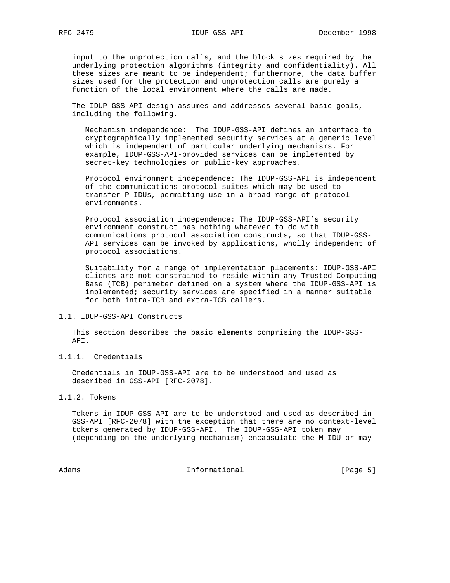input to the unprotection calls, and the block sizes required by the underlying protection algorithms (integrity and confidentiality). All these sizes are meant to be independent; furthermore, the data buffer sizes used for the protection and unprotection calls are purely a function of the local environment where the calls are made.

 The IDUP-GSS-API design assumes and addresses several basic goals, including the following.

 Mechanism independence: The IDUP-GSS-API defines an interface to cryptographically implemented security services at a generic level which is independent of particular underlying mechanisms. For example, IDUP-GSS-API-provided services can be implemented by secret-key technologies or public-key approaches.

 Protocol environment independence: The IDUP-GSS-API is independent of the communications protocol suites which may be used to transfer P-IDUs, permitting use in a broad range of protocol environments.

 Protocol association independence: The IDUP-GSS-API's security environment construct has nothing whatever to do with communications protocol association constructs, so that IDUP-GSS- API services can be invoked by applications, wholly independent of protocol associations.

 Suitability for a range of implementation placements: IDUP-GSS-API clients are not constrained to reside within any Trusted Computing Base (TCB) perimeter defined on a system where the IDUP-GSS-API is implemented; security services are specified in a manner suitable for both intra-TCB and extra-TCB callers.

## 1.1. IDUP-GSS-API Constructs

 This section describes the basic elements comprising the IDUP-GSS- API.

1.1.1. Credentials

 Credentials in IDUP-GSS-API are to be understood and used as described in GSS-API [RFC-2078].

# 1.1.2. Tokens

 Tokens in IDUP-GSS-API are to be understood and used as described in GSS-API [RFC-2078] with the exception that there are no context-level tokens generated by IDUP-GSS-API. The IDUP-GSS-API token may (depending on the underlying mechanism) encapsulate the M-IDU or may

Adams 1nformational 1999 [Page 5]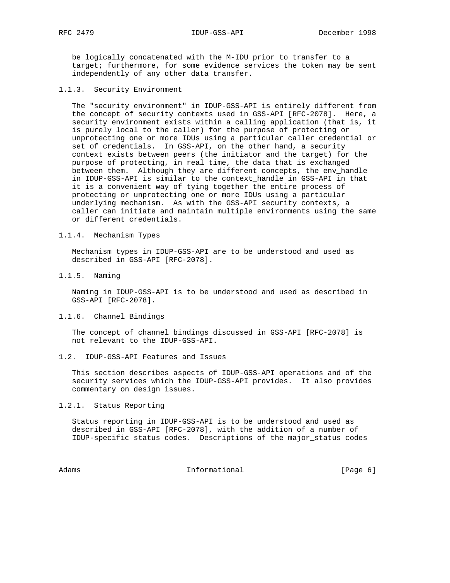be logically concatenated with the M-IDU prior to transfer to a target; furthermore, for some evidence services the token may be sent independently of any other data transfer.

1.1.3. Security Environment

 The "security environment" in IDUP-GSS-API is entirely different from the concept of security contexts used in GSS-API [RFC-2078]. Here, a security environment exists within a calling application (that is, it is purely local to the caller) for the purpose of protecting or unprotecting one or more IDUs using a particular caller credential or set of credentials. In GSS-API, on the other hand, a security context exists between peers (the initiator and the target) for the purpose of protecting, in real time, the data that is exchanged between them. Although they are different concepts, the env\_handle in IDUP-GSS-API is similar to the context\_handle in GSS-API in that it is a convenient way of tying together the entire process of protecting or unprotecting one or more IDUs using a particular underlying mechanism. As with the GSS-API security contexts, a caller can initiate and maintain multiple environments using the same or different credentials.

1.1.4. Mechanism Types

 Mechanism types in IDUP-GSS-API are to be understood and used as described in GSS-API [RFC-2078].

1.1.5. Naming

 Naming in IDUP-GSS-API is to be understood and used as described in GSS-API [RFC-2078].

1.1.6. Channel Bindings

 The concept of channel bindings discussed in GSS-API [RFC-2078] is not relevant to the IDUP-GSS-API.

1.2. IDUP-GSS-API Features and Issues

 This section describes aspects of IDUP-GSS-API operations and of the security services which the IDUP-GSS-API provides. It also provides commentary on design issues.

1.2.1. Status Reporting

 Status reporting in IDUP-GSS-API is to be understood and used as described in GSS-API [RFC-2078], with the addition of a number of IDUP-specific status codes. Descriptions of the major\_status codes

Adams 1nformational 1999 [Page 6]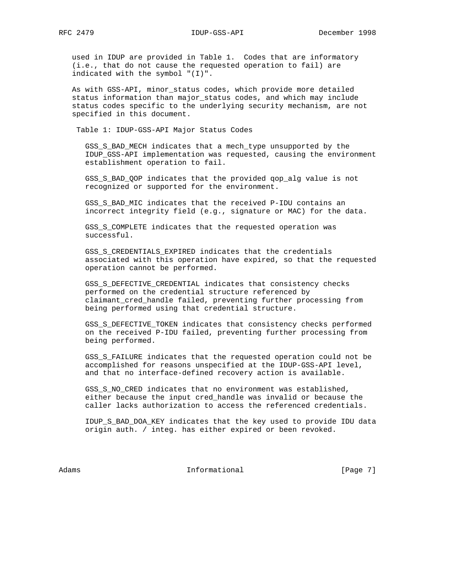used in IDUP are provided in Table 1. Codes that are informatory (i.e., that do not cause the requested operation to fail) are indicated with the symbol "(I)".

 As with GSS-API, minor\_status codes, which provide more detailed status information than major\_status codes, and which may include status codes specific to the underlying security mechanism, are not specified in this document.

Table 1: IDUP-GSS-API Major Status Codes

 GSS\_S\_BAD\_MECH indicates that a mech\_type unsupported by the IDUP\_GSS-API implementation was requested, causing the environment establishment operation to fail.

 GSS\_S\_BAD\_QOP indicates that the provided qop\_alg value is not recognized or supported for the environment.

 GSS\_S\_BAD\_MIC indicates that the received P-IDU contains an incorrect integrity field (e.g., signature or MAC) for the data.

 GSS\_S\_COMPLETE indicates that the requested operation was successful.

 GSS\_S\_CREDENTIALS\_EXPIRED indicates that the credentials associated with this operation have expired, so that the requested operation cannot be performed.

 GSS\_S\_DEFECTIVE\_CREDENTIAL indicates that consistency checks performed on the credential structure referenced by claimant\_cred\_handle failed, preventing further processing from being performed using that credential structure.

 GSS\_S\_DEFECTIVE\_TOKEN indicates that consistency checks performed on the received P-IDU failed, preventing further processing from being performed.

 GSS\_S\_FAILURE indicates that the requested operation could not be accomplished for reasons unspecified at the IDUP-GSS-API level, and that no interface-defined recovery action is available.

 GSS\_S\_NO\_CRED indicates that no environment was established, either because the input cred\_handle was invalid or because the caller lacks authorization to access the referenced credentials.

 IDUP\_S\_BAD\_DOA\_KEY indicates that the key used to provide IDU data origin auth. / integ. has either expired or been revoked.

Adams **Informational Informational Informational** [Page 7]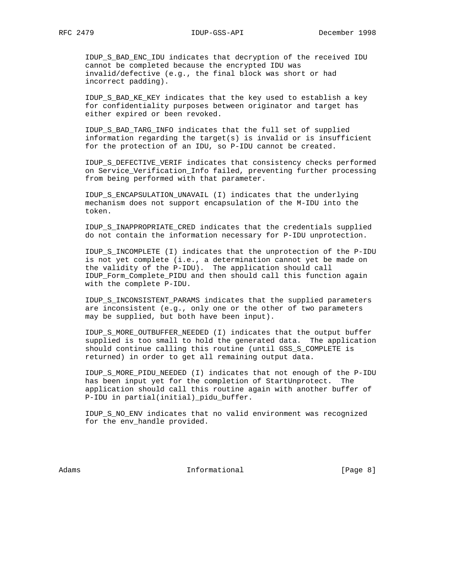IDUP\_S\_BAD\_ENC\_IDU indicates that decryption of the received IDU cannot be completed because the encrypted IDU was invalid/defective (e.g., the final block was short or had incorrect padding).

 IDUP\_S\_BAD\_KE\_KEY indicates that the key used to establish a key for confidentiality purposes between originator and target has either expired or been revoked.

 IDUP\_S\_BAD\_TARG\_INFO indicates that the full set of supplied information regarding the target(s) is invalid or is insufficient for the protection of an IDU, so P-IDU cannot be created.

 IDUP\_S\_DEFECTIVE\_VERIF indicates that consistency checks performed on Service\_Verification\_Info failed, preventing further processing from being performed with that parameter.

 IDUP\_S\_ENCAPSULATION\_UNAVAIL (I) indicates that the underlying mechanism does not support encapsulation of the M-IDU into the token.

 IDUP\_S\_INAPPROPRIATE\_CRED indicates that the credentials supplied do not contain the information necessary for P-IDU unprotection.

 IDUP\_S\_INCOMPLETE (I) indicates that the unprotection of the P-IDU is not yet complete (i.e., a determination cannot yet be made on the validity of the P-IDU). The application should call IDUP\_Form\_Complete\_PIDU and then should call this function again with the complete P-IDU.

 IDUP\_S\_INCONSISTENT\_PARAMS indicates that the supplied parameters are inconsistent (e.g., only one or the other of two parameters may be supplied, but both have been input).

 IDUP\_S\_MORE\_OUTBUFFER\_NEEDED (I) indicates that the output buffer supplied is too small to hold the generated data. The application should continue calling this routine (until GSS\_S\_COMPLETE is returned) in order to get all remaining output data.

 IDUP\_S\_MORE\_PIDU\_NEEDED (I) indicates that not enough of the P-IDU has been input yet for the completion of StartUnprotect. The application should call this routine again with another buffer of P-IDU in partial(initial)\_pidu\_buffer.

 IDUP\_S\_NO\_ENV indicates that no valid environment was recognized for the env\_handle provided.

Adams **Informational Informational Informational I**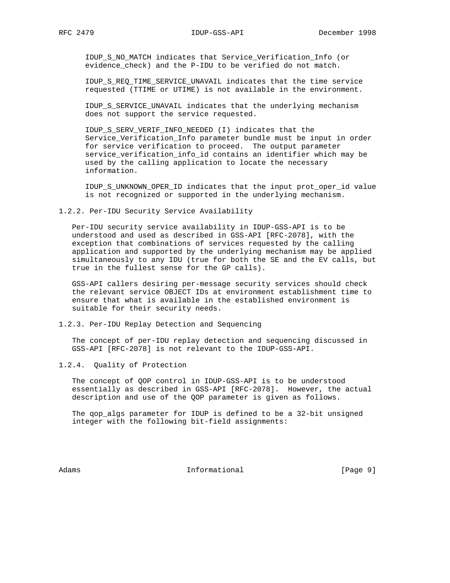IDUP\_S\_NO\_MATCH indicates that Service\_Verification\_Info (or evidence\_check) and the P-IDU to be verified do not match.

 IDUP\_S\_REQ\_TIME\_SERVICE\_UNAVAIL indicates that the time service requested (TTIME or UTIME) is not available in the environment.

 IDUP\_S\_SERVICE\_UNAVAIL indicates that the underlying mechanism does not support the service requested.

 IDUP\_S\_SERV\_VERIF\_INFO\_NEEDED (I) indicates that the Service\_Verification\_Info parameter bundle must be input in order for service verification to proceed. The output parameter service\_verification\_info\_id contains an identifier which may be used by the calling application to locate the necessary information.

 IDUP\_S\_UNKNOWN\_OPER\_ID indicates that the input prot\_oper\_id value is not recognized or supported in the underlying mechanism.

#### 1.2.2. Per-IDU Security Service Availability

 Per-IDU security service availability in IDUP-GSS-API is to be understood and used as described in GSS-API [RFC-2078], with the exception that combinations of services requested by the calling application and supported by the underlying mechanism may be applied simultaneously to any IDU (true for both the SE and the EV calls, but true in the fullest sense for the GP calls).

 GSS-API callers desiring per-message security services should check the relevant service OBJECT IDs at environment establishment time to ensure that what is available in the established environment is suitable for their security needs.

1.2.3. Per-IDU Replay Detection and Sequencing

 The concept of per-IDU replay detection and sequencing discussed in GSS-API [RFC-2078] is not relevant to the IDUP-GSS-API.

1.2.4. Quality of Protection

 The concept of QOP control in IDUP-GSS-API is to be understood essentially as described in GSS-API [RFC-2078]. However, the actual description and use of the QOP parameter is given as follows.

 The qop\_algs parameter for IDUP is defined to be a 32-bit unsigned integer with the following bit-field assignments:

Adams **Informational Informational Informational I**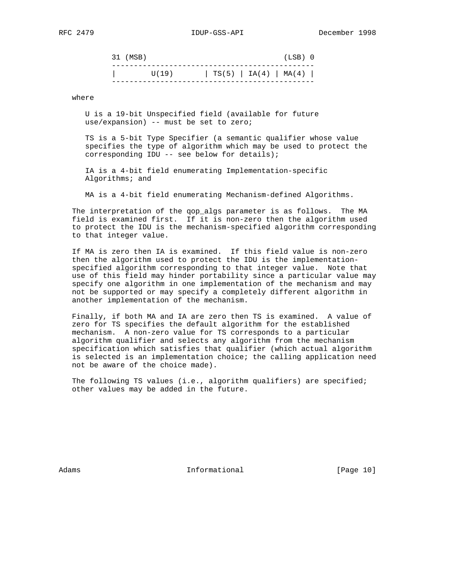| 31 (MSB) |       |                       |  | $(LSB)$ 0 |  |
|----------|-------|-----------------------|--|-----------|--|
|          | U(19) | TS(5)   IA(4)   MA(4) |  |           |  |

where

 U is a 19-bit Unspecified field (available for future use/expansion) -- must be set to zero;

 TS is a 5-bit Type Specifier (a semantic qualifier whose value specifies the type of algorithm which may be used to protect the corresponding IDU -- see below for details);

 IA is a 4-bit field enumerating Implementation-specific Algorithms; and

MA is a 4-bit field enumerating Mechanism-defined Algorithms.

 The interpretation of the qop\_algs parameter is as follows. The MA field is examined first. If it is non-zero then the algorithm used to protect the IDU is the mechanism-specified algorithm corresponding to that integer value.

 If MA is zero then IA is examined. If this field value is non-zero then the algorithm used to protect the IDU is the implementation specified algorithm corresponding to that integer value. Note that use of this field may hinder portability since a particular value may specify one algorithm in one implementation of the mechanism and may not be supported or may specify a completely different algorithm in another implementation of the mechanism.

 Finally, if both MA and IA are zero then TS is examined. A value of zero for TS specifies the default algorithm for the established mechanism. A non-zero value for TS corresponds to a particular algorithm qualifier and selects any algorithm from the mechanism specification which satisfies that qualifier (which actual algorithm is selected is an implementation choice; the calling application need not be aware of the choice made).

The following TS values (i.e., algorithm qualifiers) are specified; other values may be added in the future.

Adams **Informational Informational** [Page 10]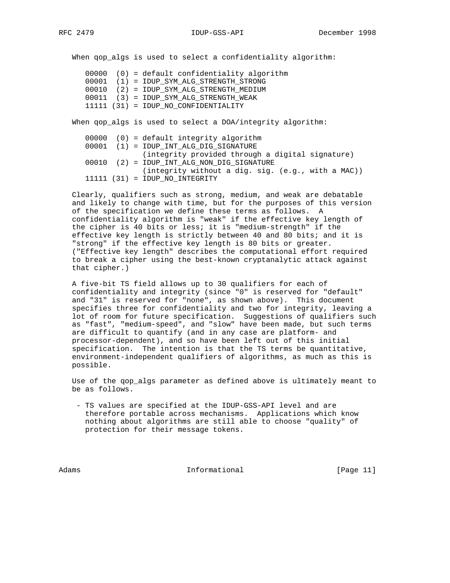When qop\_algs is used to select a confidentiality algorithm:

|  | $00000$ (0) = default confidentiality algorithm |
|--|-------------------------------------------------|
|  | 00001 (1) = IDUP_SYM_ALG_STRENGTH_STRONG        |
|  | 00010 (2) = IDUP SYM ALG STRENGTH MEDIUM        |
|  | 00011 (3) = IDUP SYM ALG STRENGTH WEAK          |
|  | 11111 (31) = IDUP NO CONFIDENTIALITY            |

When qop\_algs is used to select a DOA/integrity algorithm:

|  |  | $00000$ (0) = default integrity algorithm            |
|--|--|------------------------------------------------------|
|  |  | 00001 (1) = IDUP INT ALG DIG SIGNATURE               |
|  |  | (integrity provided through a digital signature)     |
|  |  | $00010$ (2) = IDUP INT ALG NON DIG SIGNATURE         |
|  |  | $(intequiv$ without a dig. sig. $(e,q, with a MAC))$ |
|  |  | $11111 (31) = IDUP NO INTEGRITY$                     |

 Clearly, qualifiers such as strong, medium, and weak are debatable and likely to change with time, but for the purposes of this version of the specification we define these terms as follows. A confidentiality algorithm is "weak" if the effective key length of the cipher is 40 bits or less; it is "medium-strength" if the effective key length is strictly between 40 and 80 bits; and it is "strong" if the effective key length is 80 bits or greater. ("Effective key length" describes the computational effort required to break a cipher using the best-known cryptanalytic attack against that cipher.)

 A five-bit TS field allows up to 30 qualifiers for each of confidentiality and integrity (since "0" is reserved for "default" and "31" is reserved for "none", as shown above). This document specifies three for confidentiality and two for integrity, leaving a lot of room for future specification. Suggestions of qualifiers such as "fast", "medium-speed", and "slow" have been made, but such terms are difficult to quantify (and in any case are platform- and processor-dependent), and so have been left out of this initial specification. The intention is that the TS terms be quantitative, environment-independent qualifiers of algorithms, as much as this is possible.

 Use of the qop\_algs parameter as defined above is ultimately meant to be as follows.

 - TS values are specified at the IDUP-GSS-API level and are therefore portable across mechanisms. Applications which know nothing about algorithms are still able to choose "quality" of protection for their message tokens.

Adams **Informational Informational** [Page 11]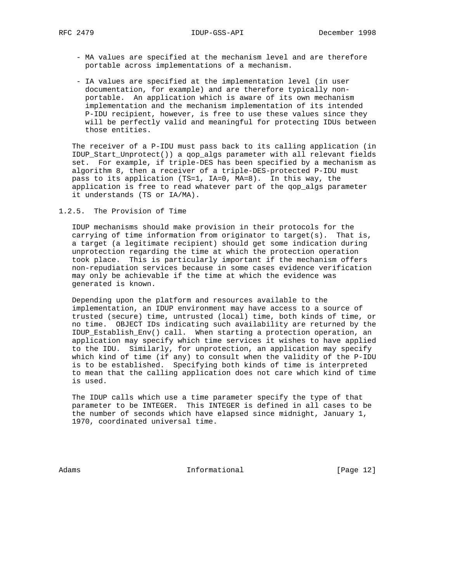- MA values are specified at the mechanism level and are therefore portable across implementations of a mechanism.
- IA values are specified at the implementation level (in user documentation, for example) and are therefore typically non portable. An application which is aware of its own mechanism implementation and the mechanism implementation of its intended P-IDU recipient, however, is free to use these values since they will be perfectly valid and meaningful for protecting IDUs between those entities.

 The receiver of a P-IDU must pass back to its calling application (in IDUP\_Start\_Unprotect()) a qop\_algs parameter with all relevant fields set. For example, if triple-DES has been specified by a mechanism as algorithm 8, then a receiver of a triple-DES-protected P-IDU must pass to its application (TS=1, IA=0, MA=8). In this way, the application is free to read whatever part of the qop\_algs parameter it understands (TS or IA/MA).

1.2.5. The Provision of Time

 IDUP mechanisms should make provision in their protocols for the carrying of time information from originator to target(s). That is, a target (a legitimate recipient) should get some indication during unprotection regarding the time at which the protection operation took place. This is particularly important if the mechanism offers non-repudiation services because in some cases evidence verification may only be achievable if the time at which the evidence was generated is known.

 Depending upon the platform and resources available to the implementation, an IDUP environment may have access to a source of trusted (secure) time, untrusted (local) time, both kinds of time, or no time. OBJECT IDs indicating such availability are returned by the IDUP\_Establish\_Env() call. When starting a protection operation, an application may specify which time services it wishes to have applied to the IDU. Similarly, for unprotection, an application may specify which kind of time (if any) to consult when the validity of the P-IDU is to be established. Specifying both kinds of time is interpreted to mean that the calling application does not care which kind of time is used.

 The IDUP calls which use a time parameter specify the type of that parameter to be INTEGER. This INTEGER is defined in all cases to be the number of seconds which have elapsed since midnight, January 1, 1970, coordinated universal time.

Adams **Informational Informational** [Page 12]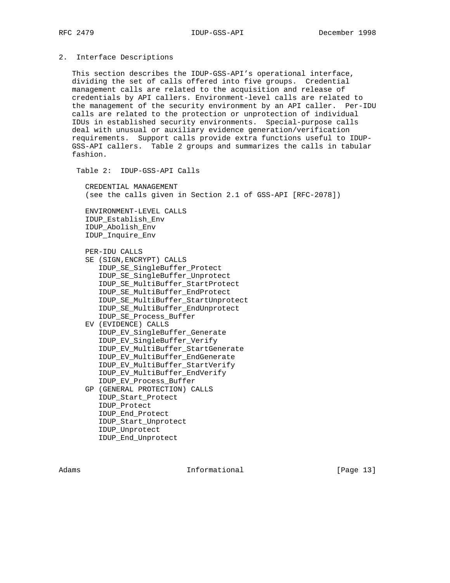## 2. Interface Descriptions

 This section describes the IDUP-GSS-API's operational interface, dividing the set of calls offered into five groups. Credential management calls are related to the acquisition and release of credentials by API callers. Environment-level calls are related to the management of the security environment by an API caller. Per-IDU calls are related to the protection or unprotection of individual IDUs in established security environments. Special-purpose calls deal with unusual or auxiliary evidence generation/verification requirements. Support calls provide extra functions useful to IDUP- GSS-API callers. Table 2 groups and summarizes the calls in tabular fashion.

Table 2: IDUP-GSS-API Calls

 CREDENTIAL MANAGEMENT (see the calls given in Section 2.1 of GSS-API [RFC-2078])

 ENVIRONMENT-LEVEL CALLS IDUP\_Establish\_Env IDUP\_Abolish\_Env IDUP\_Inquire\_Env

PER-IDU CALLS

- SE (SIGN,ENCRYPT) CALLS IDUP\_SE\_SingleBuffer\_Protect IDUP\_SE\_SingleBuffer\_Unprotect IDUP\_SE\_MultiBuffer\_StartProtect IDUP\_SE\_MultiBuffer\_EndProtect IDUP\_SE\_MultiBuffer\_StartUnprotect IDUP\_SE\_MultiBuffer\_EndUnprotect IDUP\_SE\_Process\_Buffer
- EV (EVIDENCE) CALLS IDUP\_EV\_SingleBuffer\_Generate IDUP\_EV\_SingleBuffer\_Verify IDUP\_EV\_MultiBuffer\_StartGenerate IDUP\_EV\_MultiBuffer\_EndGenerate IDUP\_EV\_MultiBuffer\_StartVerify IDUP\_EV\_MultiBuffer\_EndVerify IDUP\_EV\_Process\_Buffer
- GP (GENERAL PROTECTION) CALLS IDUP\_Start\_Protect IDUP\_Protect IDUP\_End\_Protect IDUP\_Start\_Unprotect IDUP\_Unprotect IDUP\_End\_Unprotect

Adams **Informational Informational** [Page 13]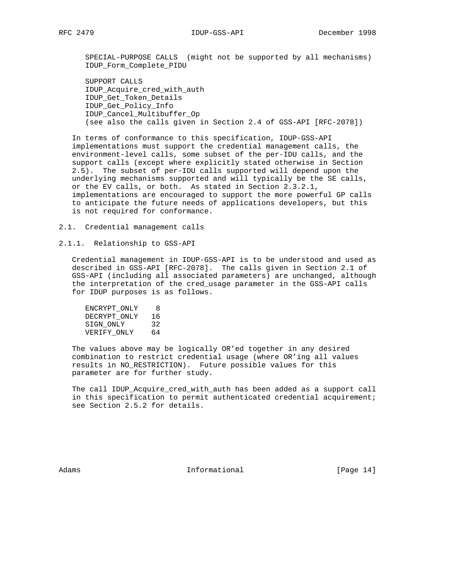SPECIAL-PURPOSE CALLS (might not be supported by all mechanisms) IDUP\_Form\_Complete\_PIDU

 SUPPORT CALLS IDUP\_Acquire\_cred\_with\_auth IDUP\_Get\_Token\_Details IDUP\_Get\_Policy\_Info IDUP\_Cancel\_Multibuffer\_Op (see also the calls given in Section 2.4 of GSS-API [RFC-2078])

 In terms of conformance to this specification, IDUP-GSS-API implementations must support the credential management calls, the environment-level calls, some subset of the per-IDU calls, and the support calls (except where explicitly stated otherwise in Section 2.5). The subset of per-IDU calls supported will depend upon the underlying mechanisms supported and will typically be the SE calls, or the EV calls, or both. As stated in Section 2.3.2.1, implementations are encouraged to support the more powerful GP calls to anticipate the future needs of applications developers, but this is not required for conformance.

2.1. Credential management calls

2.1.1. Relationship to GSS-API

 Credential management in IDUP-GSS-API is to be understood and used as described in GSS-API [RFC-2078]. The calls given in Section 2.1 of GSS-API (including all associated parameters) are unchanged, although the interpretation of the cred\_usage parameter in the GSS-API calls for IDUP purposes is as follows.

 ENCRYPT\_ONLY 8 DECRYPT\_ONLY 16 SIGN\_ONLY 32 VERIFY\_ONLY 64

 The values above may be logically OR'ed together in any desired combination to restrict credential usage (where OR'ing all values results in NO\_RESTRICTION). Future possible values for this parameter are for further study.

 The call IDUP\_Acquire\_cred\_with\_auth has been added as a support call in this specification to permit authenticated credential acquirement; see Section 2.5.2 for details.

Adams **Informational Informational** [Page 14]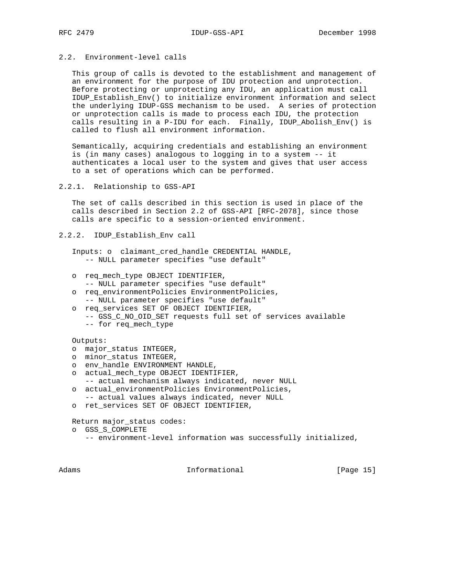# 2.2. Environment-level calls

 This group of calls is devoted to the establishment and management of an environment for the purpose of IDU protection and unprotection. Before protecting or unprotecting any IDU, an application must call IDUP\_Establish\_Env() to initialize environment information and select the underlying IDUP-GSS mechanism to be used. A series of protection or unprotection calls is made to process each IDU, the protection calls resulting in a P-IDU for each. Finally, IDUP\_Abolish\_Env() is called to flush all environment information.

 Semantically, acquiring credentials and establishing an environment is (in many cases) analogous to logging in to a system -- it authenticates a local user to the system and gives that user access to a set of operations which can be performed.

```
2.2.1. Relationship to GSS-API
```
 The set of calls described in this section is used in place of the calls described in Section 2.2 of GSS-API [RFC-2078], since those calls are specific to a session-oriented environment.

```
2.2.2. IDUP_Establish_Env call
```
 Inputs: o claimant\_cred\_handle CREDENTIAL HANDLE, -- NULL parameter specifies "use default"

- o req\_mech\_type OBJECT IDENTIFIER,
- -- NULL parameter specifies "use default"
- o req\_environmentPolicies EnvironmentPolicies,
- -- NULL parameter specifies "use default"
- o req\_services SET OF OBJECT IDENTIFIER,
	- -- GSS\_C\_NO\_OID\_SET requests full set of services available -- for req\_mech\_type

Outputs:

- o major\_status INTEGER,
- o minor\_status INTEGER,
- o env\_handle ENVIRONMENT HANDLE,
- o actual\_mech\_type OBJECT IDENTIFIER,
- -- actual mechanism always indicated, never NULL o actual\_environmentPolicies EnvironmentPolicies,
- -- actual values always indicated, never NULL
- o ret\_services SET OF OBJECT IDENTIFIER,

Return major\_status codes:

- o GSS\_S\_COMPLETE
	- -- environment-level information was successfully initialized,

Adams 1nformational [Page 15]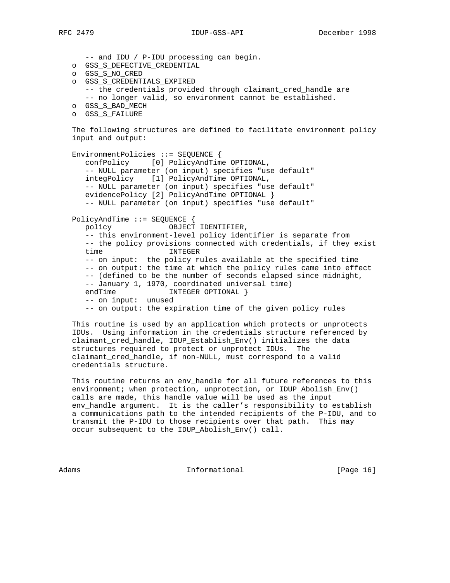-- and IDU / P-IDU processing can begin. o GSS\_S\_DEFECTIVE\_CREDENTIAL o GSS\_S\_NO\_CRED o GSS\_S\_CREDENTIALS\_EXPIRED -- the credentials provided through claimant\_cred\_handle are -- no longer valid, so environment cannot be established. o GSS\_S\_BAD\_MECH o GSS\_S\_FAILURE The following structures are defined to facilitate environment policy input and output: EnvironmentPolicies ::= SEQUENCE { confPolicy [0] PolicyAndTime OPTIONAL, -- NULL parameter (on input) specifies "use default" integPolicy [1] PolicyAndTime OPTIONAL, -- NULL parameter (on input) specifies "use default" evidencePolicy [2] PolicyAndTime OPTIONAL } -- NULL parameter (on input) specifies "use default" PolicyAndTime ::= SEQUENCE { policy OBJECT IDENTIFIER, -- this environment-level policy identifier is separate from -- the policy provisions connected with credentials, if they exist time INTEGER -- on input: the policy rules available at the specified time -- on output: the time at which the policy rules came into effect -- (defined to be the number of seconds elapsed since midnight, -- January 1, 1970, coordinated universal time) endTime INTEGER OPTIONAL } -- on input: unused -- on output: the expiration time of the given policy rules This routine is used by an application which protects or unprotects IDUs. Using information in the credentials structure referenced by claimant\_cred\_handle, IDUP\_Establish\_Env() initializes the data

 This routine returns an env\_handle for all future references to this environment; when protection, unprotection, or IDUP\_Abolish\_Env() calls are made, this handle value will be used as the input env\_handle argument. It is the caller's responsibility to establish a communications path to the intended recipients of the P-IDU, and to transmit the P-IDU to those recipients over that path. This may occur subsequent to the IDUP\_Abolish\_Env() call.

structures required to protect or unprotect IDUs. The

claimant\_cred\_handle, if non-NULL, must correspond to a valid

credentials structure.

Adams 1nformational 1999 [Page 16]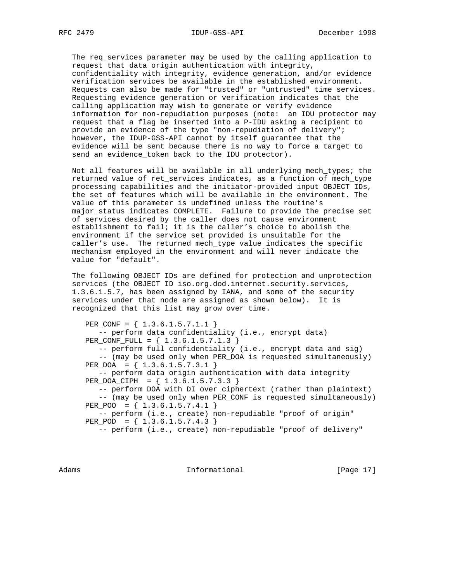The req\_services parameter may be used by the calling application to request that data origin authentication with integrity, confidentiality with integrity, evidence generation, and/or evidence verification services be available in the established environment. Requests can also be made for "trusted" or "untrusted" time services. Requesting evidence generation or verification indicates that the calling application may wish to generate or verify evidence information for non-repudiation purposes (note: an IDU protector may request that a flag be inserted into a P-IDU asking a recipient to provide an evidence of the type "non-repudiation of delivery"; however, the IDUP-GSS-API cannot by itself guarantee that the evidence will be sent because there is no way to force a target to send an evidence\_token back to the IDU protector).

 Not all features will be available in all underlying mech\_types; the returned value of ret services indicates, as a function of mech type processing capabilities and the initiator-provided input OBJECT IDs, the set of features which will be available in the environment. The value of this parameter is undefined unless the routine's major\_status indicates COMPLETE. Failure to provide the precise set of services desired by the caller does not cause environment establishment to fail; it is the caller's choice to abolish the environment if the service set provided is unsuitable for the caller's use. The returned mech\_type value indicates the specific mechanism employed in the environment and will never indicate the value for "default".

 The following OBJECT IDs are defined for protection and unprotection services (the OBJECT ID iso.org.dod.internet.security.services, 1.3.6.1.5.7, has been assigned by IANA, and some of the security services under that node are assigned as shown below). It is recognized that this list may grow over time.

PER CONF =  $\{ 1.3.6.1.5.7.1.1 \}$  -- perform data confidentiality (i.e., encrypt data) PER\_CONF\_FULL = { 1.3.6.1.5.7.1.3 } -- perform full confidentiality (i.e., encrypt data and sig) -- (may be used only when PER\_DOA is requested simultaneously) PER\_DOA = { 1.3.6.1.5.7.3.1 } -- perform data origin authentication with data integrity PER\_DOA\_CIPH = { 1.3.6.1.5.7.3.3 } -- perform DOA with DI over ciphertext (rather than plaintext) -- (may be used only when PER\_CONF is requested simultaneously) PER\_POO =  ${ 1.3.6.1.5.7.4.1 }$  -- perform (i.e., create) non-repudiable "proof of origin" PER\_POD = { 1.3.6.1.5.7.4.3 } -- perform (i.e., create) non-repudiable "proof of delivery"

Adams **Informational Informational** [Page 17]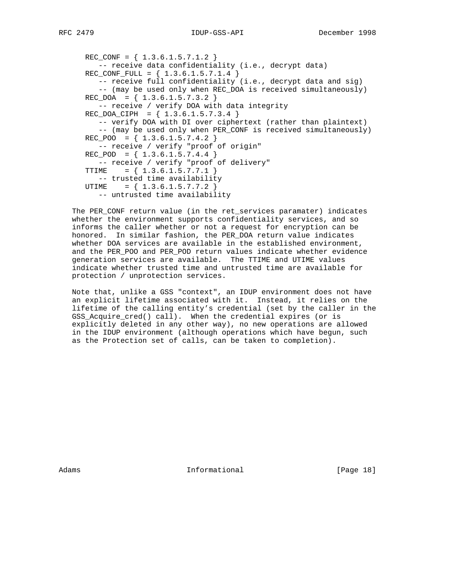```
REC_CONF = \{ 1.3.6.1.5.7.1.2 \} -- receive data confidentiality (i.e., decrypt data)
REC_CONF_FULL = { 1.3.6.1.5.7.1.4} -- receive full confidentiality (i.e., decrypt data and sig)
    -- (may be used only when REC_DOA is received simultaneously)
REC_DOA = { 1.3.6.1.5.7.3.2 } -- receive / verify DOA with data integrity
REC\_DOA_CIPH = \{ 1.3.6.1.5.7.3.4 \} -- verify DOA with DI over ciphertext (rather than plaintext)
   -- (may be used only when PER CONF is received simultaneously)
REC_POO = \{ 1.3.6.1.5.7.4.2 \} -- receive / verify "proof of origin"
REC\_POD = \{ 1.3.6.1.5.7.4.4 \} -- receive / verify "proof of delivery"
TTIME = \{ 1.3.6.1.5.7.7.1 \} -- trusted time availability
UTIME = { 1.3.6.1.5.7.7.2 }
   -- untrusted time availability
```
 The PER\_CONF return value (in the ret\_services paramater) indicates whether the environment supports confidentiality services, and so informs the caller whether or not a request for encryption can be honored. In similar fashion, the PER\_DOA return value indicates whether DOA services are available in the established environment, and the PER\_POO and PER\_POD return values indicate whether evidence generation services are available. The TTIME and UTIME values indicate whether trusted time and untrusted time are available for protection / unprotection services.

 Note that, unlike a GSS "context", an IDUP environment does not have an explicit lifetime associated with it. Instead, it relies on the lifetime of the calling entity's credential (set by the caller in the GSS\_Acquire\_cred() call). When the credential expires (or is explicitly deleted in any other way), no new operations are allowed in the IDUP environment (although operations which have begun, such as the Protection set of calls, can be taken to completion).

Adams **Informational Informational** [Page 18]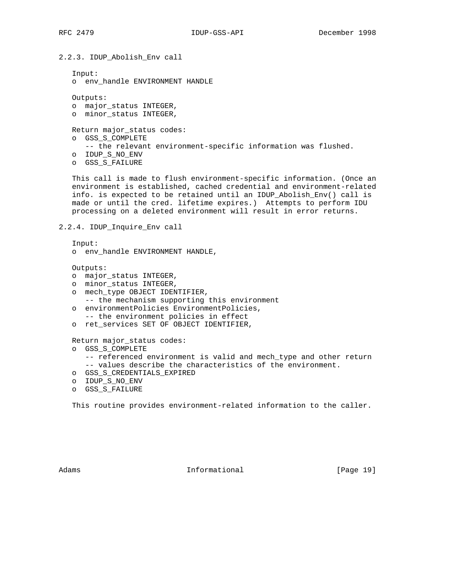2.2.3. IDUP\_Abolish\_Env call Input: o env\_handle ENVIRONMENT HANDLE Outputs: o major\_status INTEGER, o minor\_status INTEGER, Return major\_status codes: o GSS\_S\_COMPLETE -- the relevant environment-specific information was flushed. o IDUP\_S\_NO\_ENV o GSS\_S\_FAILURE This call is made to flush environment-specific information. (Once an

 environment is established, cached credential and environment-related info. is expected to be retained until an IDUP\_Abolish\_Env() call is made or until the cred. lifetime expires.) Attempts to perform IDU processing on a deleted environment will result in error returns.

```
2.2.4. IDUP_Inquire_Env call
```
 Input: o env\_handle ENVIRONMENT HANDLE,

Outputs:

- o major\_status INTEGER,
- o minor\_status INTEGER,
- o mech\_type OBJECT IDENTIFIER, -- the mechanism supporting this environment
- o environmentPolicies EnvironmentPolicies, -- the environment policies in effect
- o ret services SET OF OBJECT IDENTIFIER,

Return major\_status codes:

- o GSS\_S\_COMPLETE
	- -- referenced environment is valid and mech\_type and other return -- values describe the characteristics of the environment.
- o GSS\_S\_CREDENTIALS\_EXPIRED
- o IDUP\_S\_NO\_ENV
- o GSS\_S\_FAILURE

This routine provides environment-related information to the caller.

Adams **Informational Informational** [Page 19]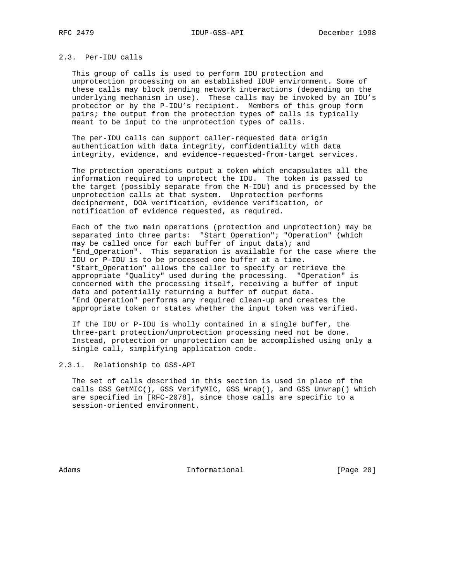# 2.3. Per-IDU calls

 This group of calls is used to perform IDU protection and unprotection processing on an established IDUP environment. Some of these calls may block pending network interactions (depending on the underlying mechanism in use). These calls may be invoked by an IDU's protector or by the P-IDU's recipient. Members of this group form pairs; the output from the protection types of calls is typically meant to be input to the unprotection types of calls.

 The per-IDU calls can support caller-requested data origin authentication with data integrity, confidentiality with data integrity, evidence, and evidence-requested-from-target services.

 The protection operations output a token which encapsulates all the information required to unprotect the IDU. The token is passed to the target (possibly separate from the M-IDU) and is processed by the unprotection calls at that system. Unprotection performs decipherment, DOA verification, evidence verification, or notification of evidence requested, as required.

 Each of the two main operations (protection and unprotection) may be separated into three parts: "Start\_Operation"; "Operation" (which may be called once for each buffer of input data); and "End\_Operation". This separation is available for the case where the IDU or P-IDU is to be processed one buffer at a time. "Start\_Operation" allows the caller to specify or retrieve the appropriate "Quality" used during the processing. "Operation" is concerned with the processing itself, receiving a buffer of input data and potentially returning a buffer of output data. "End\_Operation" performs any required clean-up and creates the appropriate token or states whether the input token was verified.

 If the IDU or P-IDU is wholly contained in a single buffer, the three-part protection/unprotection processing need not be done. Instead, protection or unprotection can be accomplished using only a single call, simplifying application code.

2.3.1. Relationship to GSS-API

 The set of calls described in this section is used in place of the calls GSS\_GetMIC(), GSS\_VerifyMIC, GSS\_Wrap(), and GSS\_Unwrap() which are specified in [RFC-2078], since those calls are specific to a session-oriented environment.

Adams 1nformational 1999 [Page 20]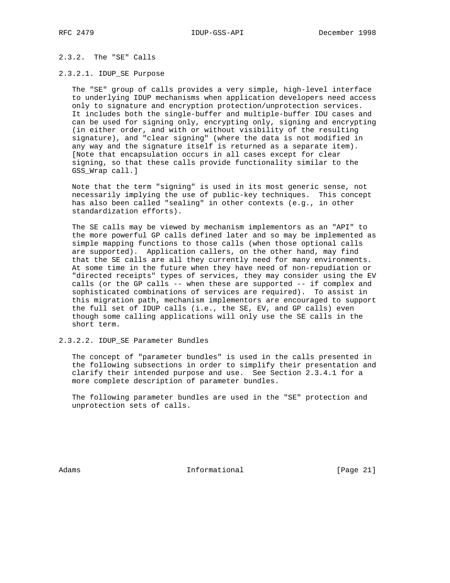# 2.3.2. The "SE" Calls

#### 2.3.2.1. IDUP\_SE Purpose

 The "SE" group of calls provides a very simple, high-level interface to underlying IDUP mechanisms when application developers need access only to signature and encryption protection/unprotection services. It includes both the single-buffer and multiple-buffer IDU cases and can be used for signing only, encrypting only, signing and encrypting (in either order, and with or without visibility of the resulting signature), and "clear signing" (where the data is not modified in any way and the signature itself is returned as a separate item). [Note that encapsulation occurs in all cases except for clear signing, so that these calls provide functionality similar to the GSS\_Wrap call.]

 Note that the term "signing" is used in its most generic sense, not necessarily implying the use of public-key techniques. This concept has also been called "sealing" in other contexts (e.g., in other standardization efforts).

 The SE calls may be viewed by mechanism implementors as an "API" to the more powerful GP calls defined later and so may be implemented as simple mapping functions to those calls (when those optional calls are supported). Application callers, on the other hand, may find that the SE calls are all they currently need for many environments. At some time in the future when they have need of non-repudiation or "directed receipts" types of services, they may consider using the EV calls (or the GP calls -- when these are supported -- if complex and sophisticated combinations of services are required). To assist in this migration path, mechanism implementors are encouraged to support the full set of IDUP calls (i.e., the SE, EV, and GP calls) even though some calling applications will only use the SE calls in the short term.

2.3.2.2. IDUP\_SE Parameter Bundles

 The concept of "parameter bundles" is used in the calls presented in the following subsections in order to simplify their presentation and clarify their intended purpose and use. See Section 2.3.4.1 for a more complete description of parameter bundles.

 The following parameter bundles are used in the "SE" protection and unprotection sets of calls.

Adams **Informational Informational** [Page 21]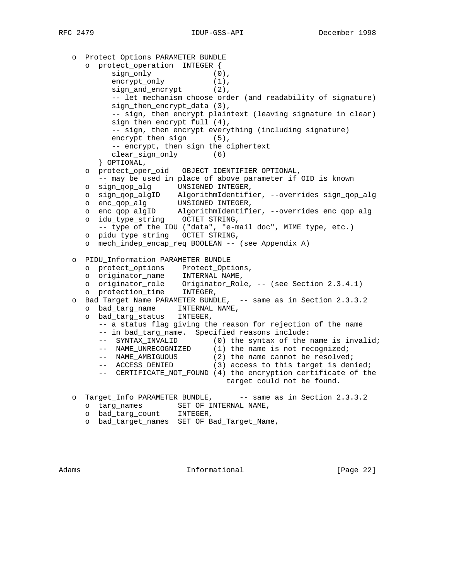```
 o Protect_Options PARAMETER BUNDLE
      o protect_operation INTEGER {
sign_only (0),
encrypt_only (1),
          sign_and\_encrypt (2),
           -- let mechanism choose order (and readability of signature)
           sign_then_encrypt_data (3),
           -- sign, then encrypt plaintext (leaving signature in clear)
           sign_then_encrypt_full (4),
           -- sign, then encrypt everything (including signature)
          encrypt_then_sign (5),
           -- encrypt, then sign the ciphertext
           clear_sign_only (6)
        } OPTIONAL,
      o protect_oper_oid OBJECT IDENTIFIER OPTIONAL,
        -- may be used in place of above parameter if OID is known
 o sign_qop_alg UNSIGNED INTEGER,
 o sign_qop_algID AlgorithmIdentifier, --overrides sign_qop_alg
 o enc_qop_alg UNSIGNED INTEGER,
 o enc_qop_algID AlgorithmIdentifier, --overrides enc_qop_alg
 o idu_type_string OCTET STRING,
        -- type of the IDU ("data", "e-mail doc", MIME type, etc.)
      o pidu_type_string OCTET STRING,
      o mech_indep_encap_req BOOLEAN -- (see Appendix A)
   o PIDU_Information PARAMETER BUNDLE
 o protect_options Protect_Options,
 o originator_name INTERNAL NAME,
 o originator_role Originator_Role, -- (see Section 2.3.4.1)
 o protection_time INTEGER,
   o Bad_Target_Name PARAMETER BUNDLE, -- same as in Section 2.3.3.2
      o bad_targ_name INTERNAL NAME,
      o bad_targ_status INTEGER,
        -- a status flag giving the reason for rejection of the name
        -- in bad_targ_name. Specified reasons include:
-- SYNTAX_INVALID (0) the syntax of the name is invalid;
-- NAME_UNRECOGNIZED (1) the name is not recognized;
-- NAME_AMBIGUOUS (2) the name cannot be resolved;
-- ACCESS_DENIED (3) access to this target is denied;
        -- CERTIFICATE_NOT_FOUND (4) the encryption certificate of the
                                 target could not be found.
  o Target_Info PARAMETER BUNDLE, -- same as in Section 2.3.3.2
     o targ_names SET OF INTERNAL NAME,
     o bad_targ_count INTEGER,
      o bad_target_names SET OF Bad_Target_Name,
```
Adams **Informational Informational** [Page 22]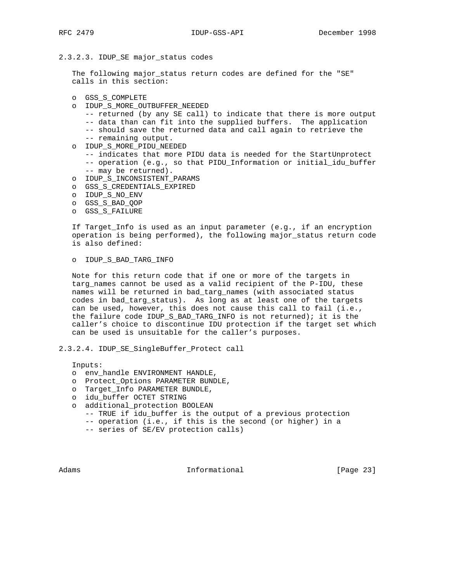2.3.2.3. IDUP\_SE major\_status codes

 The following major\_status return codes are defined for the "SE" calls in this section:

- o GSS\_S\_COMPLETE
- o IDUP\_S\_MORE\_OUTBUFFER\_NEEDED
	- -- returned (by any SE call) to indicate that there is more output
	- -- data than can fit into the supplied buffers. The application
	- -- should save the returned data and call again to retrieve the -- remaining output.
- o IDUP\_S\_MORE\_PIDU\_NEEDED
	- -- indicates that more PIDU data is needed for the StartUnprotect -- operation (e.g., so that PIDU\_Information or initial\_idu\_buffer -- may be returned).
- o IDUP\_S\_INCONSISTENT\_PARAMS
- o GSS\_S\_CREDENTIALS\_EXPIRED
- o IDUP\_S\_NO\_ENV
- o GSS\_S\_BAD\_QOP
- o GSS\_S\_FAILURE

 If Target\_Info is used as an input parameter (e.g., if an encryption operation is being performed), the following major\_status return code is also defined:

o IDUP\_S\_BAD\_TARG\_INFO

 Note for this return code that if one or more of the targets in targ\_names cannot be used as a valid recipient of the P-IDU, these names will be returned in bad\_targ\_names (with associated status codes in bad\_targ\_status). As long as at least one of the targets can be used, however, this does not cause this call to fail (i.e., the failure code IDUP\_S\_BAD\_TARG\_INFO is not returned); it is the caller's choice to discontinue IDU protection if the target set which can be used is unsuitable for the caller's purposes.

2.3.2.4. IDUP\_SE\_SingleBuffer\_Protect call

Inputs:

- o env\_handle ENVIRONMENT HANDLE,
- o Protect\_Options PARAMETER BUNDLE,
- o Target\_Info PARAMETER BUNDLE,
- o idu\_buffer OCTET STRING
- o additional\_protection BOOLEAN
	- -- TRUE if idu\_buffer is the output of a previous protection
	- -- operation (i.e., if this is the second (or higher) in a
	- -- series of SE/EV protection calls)

Adams **Informational Informational** [Page 23]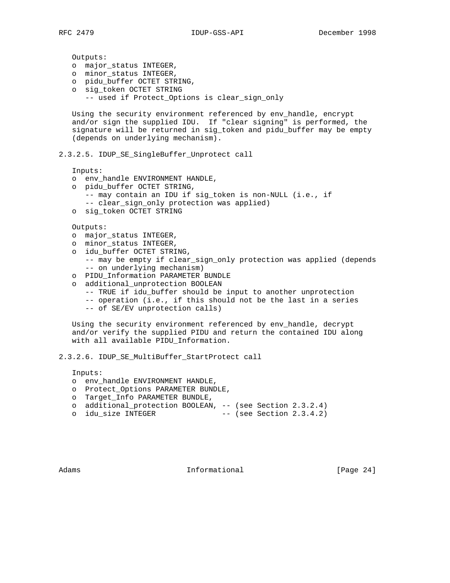Outputs: o major\_status INTEGER, o minor\_status INTEGER, o pidu\_buffer OCTET STRING, o sig\_token OCTET STRING -- used if Protect\_Options is clear\_sign\_only Using the security environment referenced by env\_handle, encrypt and/or sign the supplied IDU. If "clear signing" is performed, the signature will be returned in sig\_token and pidu\_buffer may be empty (depends on underlying mechanism). 2.3.2.5. IDUP\_SE\_SingleBuffer\_Unprotect call Inputs: o env\_handle ENVIRONMENT HANDLE, o pidu\_buffer OCTET STRING, -- may contain an IDU if sig\_token is non-NULL (i.e., if -- clear\_sign\_only protection was applied) o sig\_token OCTET STRING Outputs: o major\_status INTEGER, o minor\_status INTEGER, o idu\_buffer OCTET STRING, -- may be empty if clear\_sign\_only protection was applied (depends -- on underlying mechanism) o PIDU\_Information PARAMETER BUNDLE o additional\_unprotection BOOLEAN -- TRUE if idu\_buffer should be input to another unprotection -- operation (i.e., if this should not be the last in a series

-- of SE/EV unprotection calls)

Using the security environment referenced by env handle, decrypt and/or verify the supplied PIDU and return the contained IDU along with all available PIDU\_Information.

2.3.2.6. IDUP\_SE\_MultiBuffer\_StartProtect call

Inputs:

- o env\_handle ENVIRONMENT HANDLE,
- o Protect\_Options PARAMETER BUNDLE,
- o Target\_Info PARAMETER BUNDLE,
- o additional\_protection BOOLEAN, -- (see Section 2.3.2.4)
- o idu\_size INTEGER -- (see Section 2.3.4.2)

Adams **Informational Informational** [Page 24]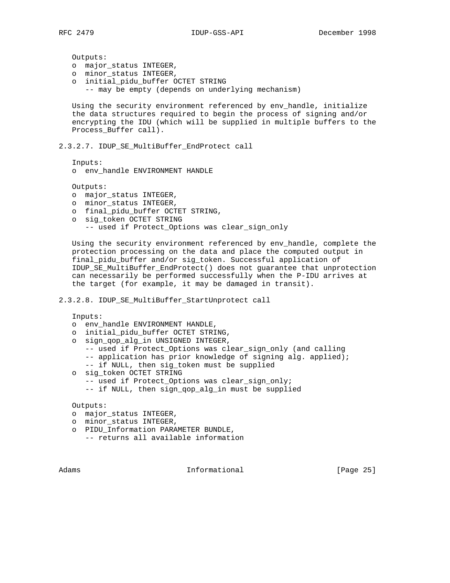Outputs:

- o major\_status INTEGER,
- o minor\_status INTEGER,
- o initial\_pidu\_buffer OCTET STRING -- may be empty (depends on underlying mechanism)

 Using the security environment referenced by env\_handle, initialize the data structures required to begin the process of signing and/or encrypting the IDU (which will be supplied in multiple buffers to the Process Buffer call).

2.3.2.7. IDUP\_SE\_MultiBuffer\_EndProtect call

Inputs:

o env\_handle ENVIRONMENT HANDLE

Outputs:

- o major\_status INTEGER,
- o minor\_status INTEGER,
- o final\_pidu\_buffer OCTET STRING,
- o sig\_token OCTET STRING
	- -- used if Protect\_Options was clear\_sign\_only

 Using the security environment referenced by env\_handle, complete the protection processing on the data and place the computed output in final\_pidu\_buffer and/or sig\_token. Successful application of IDUP\_SE\_MultiBuffer\_EndProtect() does not guarantee that unprotection can necessarily be performed successfully when the P-IDU arrives at the target (for example, it may be damaged in transit).

# 2.3.2.8. IDUP\_SE\_MultiBuffer\_StartUnprotect call

Inputs:

- o env\_handle ENVIRONMENT HANDLE,
- o initial\_pidu\_buffer OCTET STRING,
- o sign\_qop\_alg\_in UNSIGNED INTEGER,
	- -- used if Protect\_Options was clear\_sign\_only (and calling
	- -- application has prior knowledge of signing alg. applied);
	- -- if NULL, then sig\_token must be supplied
- o sig\_token OCTET STRING
	- -- used if Protect\_Options was clear\_sign\_only;
	- -- if NULL, then sign\_qop\_alg\_in must be supplied

Outputs:

- o major\_status INTEGER,
- o minor\_status INTEGER,
- o PIDU\_Information PARAMETER BUNDLE,
	- -- returns all available information

Adams **Informational Informational** [Page 25]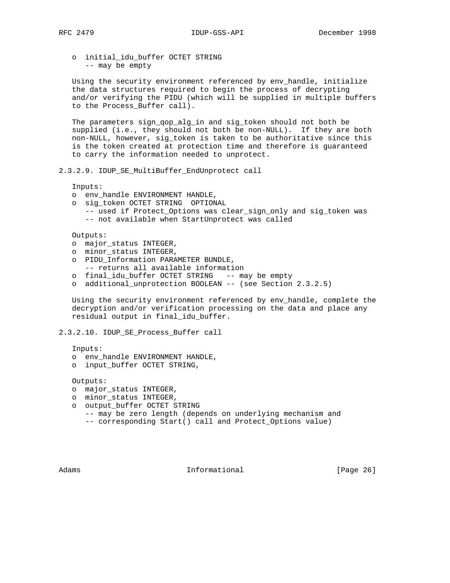o initial\_idu\_buffer OCTET STRING -- may be empty

 Using the security environment referenced by env\_handle, initialize the data structures required to begin the process of decrypting and/or verifying the PIDU (which will be supplied in multiple buffers to the Process\_Buffer call).

 The parameters sign\_qop\_alg\_in and sig\_token should not both be supplied (i.e., they should not both be non-NULL). If they are both non-NULL, however, sig\_token is taken to be authoritative since this is the token created at protection time and therefore is guaranteed to carry the information needed to unprotect.

2.3.2.9. IDUP\_SE\_MultiBuffer\_EndUnprotect call

Inputs:

- o env\_handle ENVIRONMENT HANDLE,
- o sig\_token OCTET STRING OPTIONAL
	- -- used if Protect\_Options was clear\_sign\_only and sig\_token was -- not available when StartUnprotect was called

Outputs:

- o major\_status INTEGER,
- o minor\_status INTEGER,
- o PIDU\_Information PARAMETER BUNDLE, -- returns all available information
- o final\_idu\_buffer OCTET STRING -- may be empty
- o additional\_unprotection BOOLEAN -- (see Section 2.3.2.5)

 Using the security environment referenced by env\_handle, complete the decryption and/or verification processing on the data and place any residual output in final\_idu\_buffer.

## 2.3.2.10. IDUP\_SE\_Process\_Buffer call

Inputs:

- o env\_handle ENVIRONMENT HANDLE,
- o input\_buffer OCTET STRING,

Outputs:

- o major\_status INTEGER,
- o minor\_status INTEGER,
- o output\_buffer OCTET STRING
	- -- may be zero length (depends on underlying mechanism and
	- -- corresponding Start() call and Protect\_Options value)

Adams **Informational Informational** [Page 26]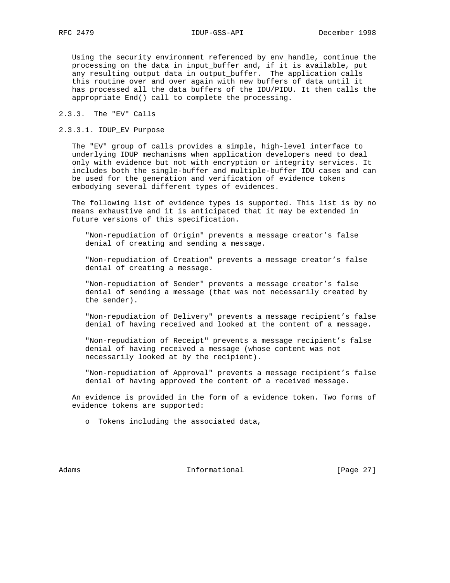Using the security environment referenced by env\_handle, continue the processing on the data in input\_buffer and, if it is available, put any resulting output data in output\_buffer. The application calls this routine over and over again with new buffers of data until it has processed all the data buffers of the IDU/PIDU. It then calls the appropriate End() call to complete the processing.

## 2.3.3. The "EV" Calls

## 2.3.3.1. IDUP\_EV Purpose

 The "EV" group of calls provides a simple, high-level interface to underlying IDUP mechanisms when application developers need to deal only with evidence but not with encryption or integrity services. It includes both the single-buffer and multiple-buffer IDU cases and can be used for the generation and verification of evidence tokens embodying several different types of evidences.

 The following list of evidence types is supported. This list is by no means exhaustive and it is anticipated that it may be extended in future versions of this specification.

 "Non-repudiation of Origin" prevents a message creator's false denial of creating and sending a message.

 "Non-repudiation of Creation" prevents a message creator's false denial of creating a message.

 "Non-repudiation of Sender" prevents a message creator's false denial of sending a message (that was not necessarily created by the sender).

 "Non-repudiation of Delivery" prevents a message recipient's false denial of having received and looked at the content of a message.

 "Non-repudiation of Receipt" prevents a message recipient's false denial of having received a message (whose content was not necessarily looked at by the recipient).

 "Non-repudiation of Approval" prevents a message recipient's false denial of having approved the content of a received message.

 An evidence is provided in the form of a evidence token. Two forms of evidence tokens are supported:

o Tokens including the associated data,

Adams **Informational Informational** [Page 27]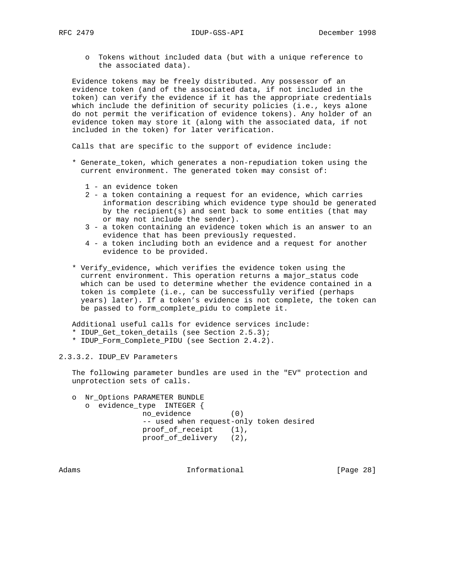o Tokens without included data (but with a unique reference to the associated data).

 Evidence tokens may be freely distributed. Any possessor of an evidence token (and of the associated data, if not included in the token) can verify the evidence if it has the appropriate credentials which include the definition of security policies (i.e., keys alone do not permit the verification of evidence tokens). Any holder of an evidence token may store it (along with the associated data, if not included in the token) for later verification.

Calls that are specific to the support of evidence include:

- \* Generate\_token, which generates a non-repudiation token using the current environment. The generated token may consist of:
	- 1 an evidence token
	- 2 a token containing a request for an evidence, which carries information describing which evidence type should be generated by the recipient(s) and sent back to some entities (that may or may not include the sender).
	- 3 a token containing an evidence token which is an answer to an evidence that has been previously requested.
	- 4 a token including both an evidence and a request for another evidence to be provided.
- \* Verify\_evidence, which verifies the evidence token using the current environment. This operation returns a major\_status code which can be used to determine whether the evidence contained in a token is complete (i.e., can be successfully verified (perhaps years) later). If a token's evidence is not complete, the token can be passed to form\_complete\_pidu to complete it.

 Additional useful calls for evidence services include: \* IDUP\_Get\_token\_details (see Section 2.5.3); \* IDUP\_Form\_Complete\_PIDU (see Section 2.4.2).

2.3.3.2. IDUP\_EV Parameters

 The following parameter bundles are used in the "EV" protection and unprotection sets of calls.

 o Nr\_Options PARAMETER BUNDLE o evidence\_type INTEGER { no\_evidence (0) -- used when request-only token desired proof\_of\_receipt (1), proof\_of\_delivery (2),

Adams **Informational Informational** [Page 28]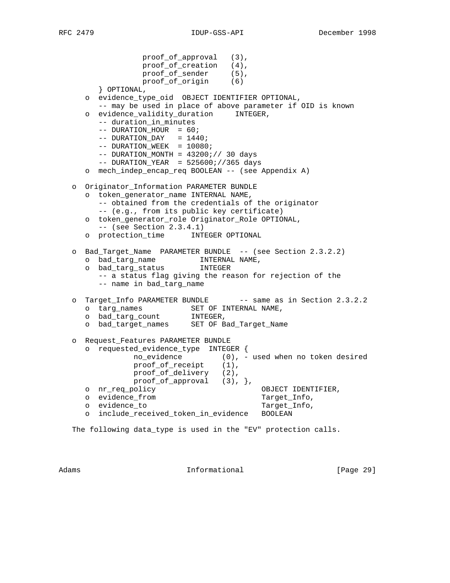```
 proof_of_approval (3),
                 proof_of_creation (4),
proof_of_sender (5),
 proof_of_origin (6)
        } OPTIONAL,
      o evidence_type_oid OBJECT IDENTIFIER OPTIONAL,
        -- may be used in place of above parameter if OID is known
      o evidence_validity_duration INTEGER,
        -- duration_in_minutes
       -- DURATION HOUR = 60;
       -- DURATION_DAY = 1440;
       -- DURATION_WEEK = 10080;
       -- DURATION_MONTH = 43200i// 30 days-- DURATION_YEAR = 525600;//365 days
     o mech_indep_encap_req BOOLEAN -- (see Appendix A)
   o Originator_Information PARAMETER BUNDLE
      o token_generator_name INTERNAL NAME,
        -- obtained from the credentials of the originator
        -- (e.g., from its public key certificate)
      o token_generator_role Originator_Role OPTIONAL,
        -- (see Section 2.3.4.1)
     o protection_time INTEGER OPTIONAL
   o Bad_Target_Name PARAMETER BUNDLE -- (see Section 2.3.2.2)
 o bad_targ_name INTERNAL NAME,
 o bad_targ_status INTEGER
        -- a status flag giving the reason for rejection of the
        -- name in bad_targ_name
  o Target_Info PARAMETER BUNDLE -- same as in Section 2.3.2.2
 o targ_names SET OF INTERNAL NAME,
 o bad_targ_count INTEGER,
    o bad target names SET OF Bad Target Name
   o Request_Features PARAMETER BUNDLE
     o requested_evidence_type INTEGER {
               no_evidence (0), - used when no token desired
proof_of_receipt (1),
proof_of_delivery (2),
              proof_of_approval (3), },
     o nr_req_policy OBJECT IDENTIFIER,
    o evidence_from Target_Info,
    o evidence_to Target_Info,
      o include_received_token_in_evidence BOOLEAN
```
The following data\_type is used in the "EV" protection calls.

Adams **Informational Informational** [Page 29]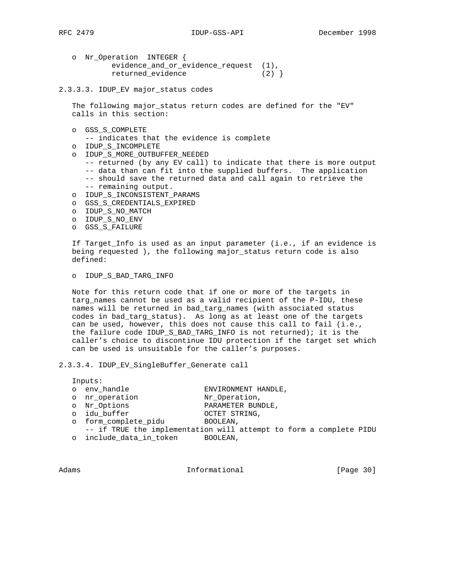- o Nr\_Operation INTEGER { evidence\_and\_or\_evidence\_request (1), returned\_evidence (2) }
- 2.3.3.3. IDUP\_EV major\_status codes

 The following major\_status return codes are defined for the "EV" calls in this section:

o GSS\_S\_COMPLETE

-- indicates that the evidence is complete

- o IDUP\_S\_INCOMPLETE
- o IDUP\_S\_MORE\_OUTBUFFER\_NEEDED
	- -- returned (by any EV call) to indicate that there is more output -- data than can fit into the supplied buffers. The application -- should save the returned data and call again to retrieve the -- remaining output.
- o IDUP\_S\_INCONSISTENT\_PARAMS
- o GSS\_S\_CREDENTIALS\_EXPIRED
- o IDUP\_S\_NO\_MATCH
- o IDUP\_S\_NO\_ENV
- o GSS\_S\_FAILURE

 If Target\_Info is used as an input parameter (i.e., if an evidence is being requested ), the following major\_status return code is also defined:

#### o IDUP\_S\_BAD\_TARG\_INFO

 Note for this return code that if one or more of the targets in targ\_names cannot be used as a valid recipient of the P-IDU, these names will be returned in bad\_targ\_names (with associated status codes in bad\_targ\_status). As long as at least one of the targets can be used, however, this does not cause this call to fail (i.e., the failure code IDUP\_S\_BAD\_TARG\_INFO is not returned); it is the caller's choice to discontinue IDU protection if the target set which can be used is unsuitable for the caller's purposes.

2.3.3.4. IDUP\_EV\_SingleBuffer\_Generate call

|  | Inputs:                 |                                                                    |  |  |  |  |
|--|-------------------------|--------------------------------------------------------------------|--|--|--|--|
|  | o env handle            | ENVIRONMENT HANDLE,                                                |  |  |  |  |
|  | o nr operation          | Nr Operation,                                                      |  |  |  |  |
|  | o Nr_Options            | PARAMETER BUNDLE,                                                  |  |  |  |  |
|  | o idu buffer            | OCTET STRING,                                                      |  |  |  |  |
|  | o form_complete pidu    | BOOLEAN,                                                           |  |  |  |  |
|  |                         | -- if TRUE the implementation will attempt to form a complete PIDU |  |  |  |  |
|  | o include_data_in_token | BOOLEAN,                                                           |  |  |  |  |

Adams **Informational Informational** [Page 30]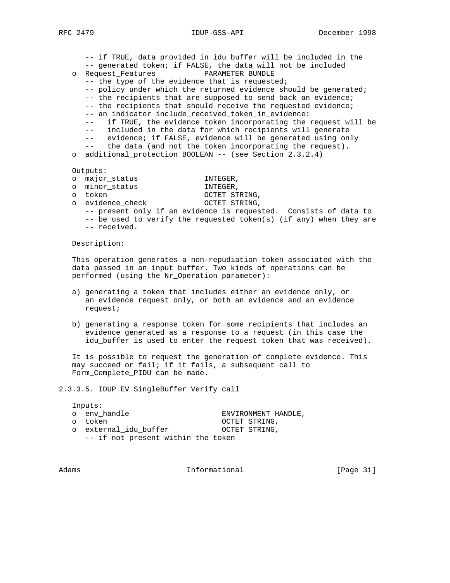-- if TRUE, data provided in idu\_buffer will be included in the -- generated token; if FALSE, the data will not be included o Request\_Features PARAMETER BUNDLE -- the type of the evidence that is requested; -- policy under which the returned evidence should be generated; -- the recipients that are supposed to send back an evidence; -- the recipients that should receive the requested evidence; -- an indicator include\_received\_token\_in\_evidence: -- if TRUE, the evidence token incorporating the request will be -- included in the data for which recipients will generate -- evidence; if FALSE, evidence will be generated using only -- the data (and not the token incorporating the request). o additional\_protection BOOLEAN -- (see Section 2.3.2.4) Outputs: o major\_status INTEGER, o minor\_status INTEGER, o token OCTET STRING, o evidence\_check -- present only if an evidence is requested. Consists of data to

 -- be used to verify the requested token(s) (if any) when they are -- received.

Description:

 This operation generates a non-repudiation token associated with the data passed in an input buffer. Two kinds of operations can be performed (using the Nr\_Operation parameter):

- a) generating a token that includes either an evidence only, or an evidence request only, or both an evidence and an evidence request;
- b) generating a response token for some recipients that includes an evidence generated as a response to a request (in this case the idu\_buffer is used to enter the request token that was received).

 It is possible to request the generation of complete evidence. This may succeed or fail; if it fails, a subsequent call to Form Complete PIDU can be made.

2.3.3.5. IDUP\_EV\_SingleBuffer\_Verify call

|  | Inputs:                            |                     |
|--|------------------------------------|---------------------|
|  | o env handle                       | ENVIRONMENT HANDLE, |
|  | o token                            | OCTET STRING,       |
|  | o external idu buffer              | OCTET STRING,       |
|  | -- if not present within the token |                     |

Adams **Informational Informational** [Page 31]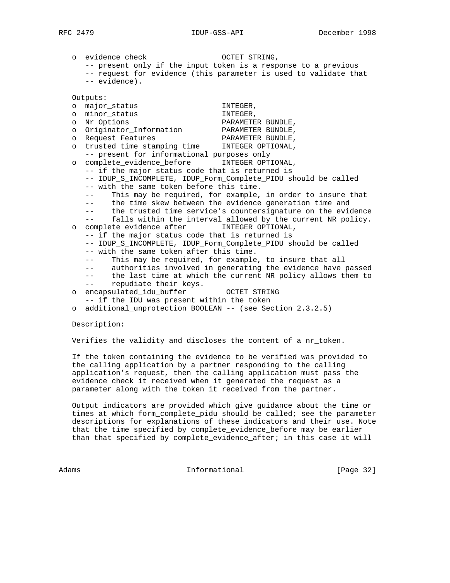o evidence\_check OCTET STRING, -- present only if the input token is a response to a previous -- request for evidence (this parameter is used to validate that -- evidence). Outputs: o major\_status INTEGER, o minor\_status INTEGER, o Nr\_Options PARAMETER BUNDLE, o Originator\_Information PARAMETER BUNDLE, o Request\_Features PARAMETER BUNDLE, o trusted\_time\_stamping\_time INTEGER OPTIONAL, -- present for informational purposes only o complete\_evidence\_before INTEGER OPTIONAL, -- if the major status code that is returned is -- IDUP\_S\_INCOMPLETE, IDUP\_Form\_Complete\_PIDU should be called -- with the same token before this time. This may be required, for example, in order to insure that -- the time skew between the evidence generation time and -- the trusted time service's countersignature on the evidence -- falls within the interval allowed by the current NR policy. o complete evidence after INTEGER OPTIONAL, -- if the major status code that is returned is -- IDUP\_S\_INCOMPLETE, IDUP\_Form\_Complete\_PIDU should be called -- with the same token after this time. -- This may be required, for example, to insure that all -- authorities involved in generating the evidence have passed -- the last time at which the current NR policy allows them to -- repudiate their keys. o encapsulated\_idu\_buffer OCTET STRING -- if the IDU was present within the token o additional\_unprotection BOOLEAN -- (see Section 2.3.2.5)

Description:

Verifies the validity and discloses the content of a nr\_token.

 If the token containing the evidence to be verified was provided to the calling application by a partner responding to the calling application's request, then the calling application must pass the evidence check it received when it generated the request as a parameter along with the token it received from the partner.

 Output indicators are provided which give guidance about the time or times at which form\_complete\_pidu should be called; see the parameter descriptions for explanations of these indicators and their use. Note that the time specified by complete\_evidence\_before may be earlier than that specified by complete\_evidence\_after; in this case it will

Adams 1nformational [Page 32]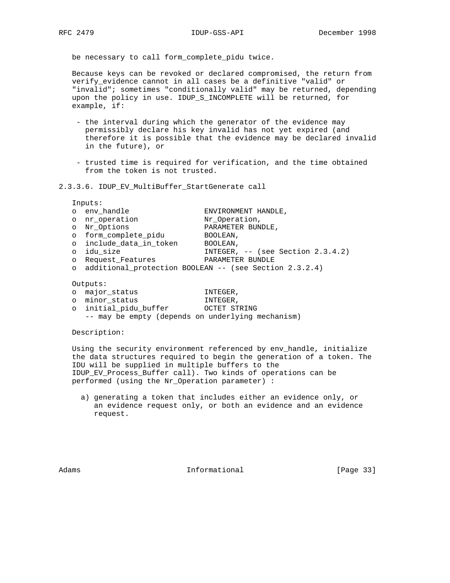be necessary to call form\_complete\_pidu twice.

 Because keys can be revoked or declared compromised, the return from verify\_evidence cannot in all cases be a definitive "valid" or "invalid"; sometimes "conditionally valid" may be returned, depending upon the policy in use. IDUP\_S\_INCOMPLETE will be returned, for example, if:

- the interval during which the generator of the evidence may permissibly declare his key invalid has not yet expired (and therefore it is possible that the evidence may be declared invalid in the future), or
- trusted time is required for verification, and the time obtained from the token is not trusted.

### 2.3.3.6. IDUP\_EV\_MultiBuffer\_StartGenerate call

Inputs:

|  | o env handle | ENVIRONMENT HANDLE, |  |
|--|--------------|---------------------|--|

- o nr operation  $Nr$  Operation,<br>
Nr Options DARAMETER RUN
- o Nr\_Options PARAMETER BUNDLE,
- o form\_complete\_pidu BOOLEAN,
- o include\_data\_in\_token BOOLEAN,
- o idu\_size INTEGER, -- (see Section 2.3.4.2)
- o Request\_Features PARAMETER BUNDLE
	- o additional\_protection BOOLEAN -- (see Section 2.3.2.4)

#### Outputs:

- o major\_status INTEGER, o minor\_status INTEGER, o initial\_pidu\_buffer OCTET STRING
	- -- may be empty (depends on underlying mechanism)

## Description:

 Using the security environment referenced by env\_handle, initialize the data structures required to begin the generation of a token. The IDU will be supplied in multiple buffers to the IDUP\_EV\_Process\_Buffer call). Two kinds of operations can be performed (using the Nr\_Operation parameter) :

 a) generating a token that includes either an evidence only, or an evidence request only, or both an evidence and an evidence request.

Adams **Informational Informational** [Page 33]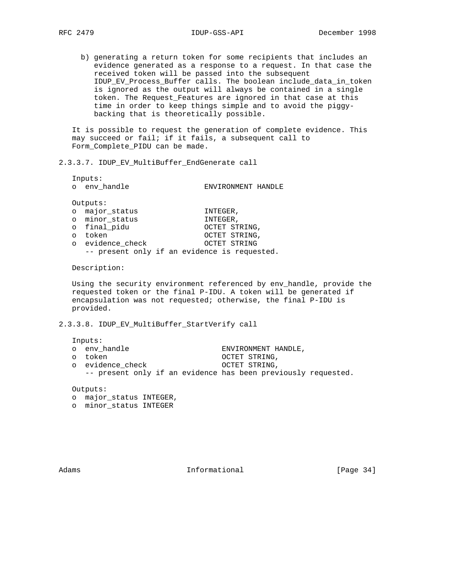b) generating a return token for some recipients that includes an evidence generated as a response to a request. In that case the received token will be passed into the subsequent IDUP\_EV\_Process\_Buffer calls. The boolean include\_data\_in\_token is ignored as the output will always be contained in a single token. The Request\_Features are ignored in that case at this time in order to keep things simple and to avoid the piggy backing that is theoretically possible.

 It is possible to request the generation of complete evidence. This may succeed or fail; if it fails, a subsequent call to Form\_Complete\_PIDU can be made.

## 2.3.3.7. IDUP\_EV\_MultiBuffer\_EndGenerate call

 Inputs: o env\_handle ENVIRONMENT HANDLE Outputs: o major\_status INTEGER, o minor\_status INTEGER, o final\_pidu OCTET STRING, o token and octer string, o evidence\_check OCTET STRING, -- present only if an evidence is requested.

Description:

 Using the security environment referenced by env\_handle, provide the requested token or the final P-IDU. A token will be generated if encapsulation was not requested; otherwise, the final P-IDU is provided.

2.3.3.8. IDUP\_EV\_MultiBuffer\_StartVerify call

| Inputs: |                                                               |                     |  |  |  |  |
|---------|---------------------------------------------------------------|---------------------|--|--|--|--|
|         | o env handle                                                  | ENVIRONMENT HANDLE, |  |  |  |  |
|         | o token                                                       | OCTET STRING,       |  |  |  |  |
|         | o evidence check                                              | OCTET STRING,       |  |  |  |  |
|         | -- present only if an evidence has been previously requested. |                     |  |  |  |  |
|         |                                                               |                     |  |  |  |  |

Outputs:

 o major\_status INTEGER, o minor\_status INTEGER

Adams **Informational Informational** [Page 34]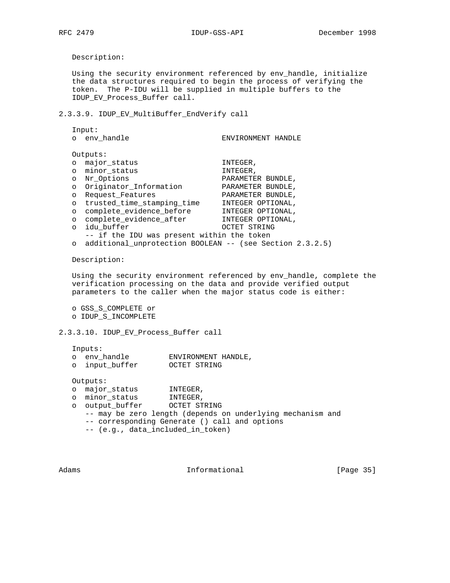Description:

 Using the security environment referenced by env\_handle, initialize the data structures required to begin the process of verifying the token. The P-IDU will be supplied in multiple buffers to the IDUP\_EV\_Process\_Buffer call.

2.3.3.9. IDUP\_EV\_MultiBuffer\_EndVerify call

 Input: o env\_handle ENVIRONMENT HANDLE Outputs: o major\_status INTEGER, o minor\_status INTEGER, o Nr\_Options PARAMETER BUNDLE, o Originator\_Information PARAMETER BUNDLE, o Request\_Features PARAMETER BUNDLE, o trusted\_time\_stamping\_time INTEGER OPTIONAL, o complete\_evidence\_before INTEGER OPTIONAL, o complete\_evidence\_after INTEGER OPTIONAL, o idu\_buffer OCTET STRING -- if the IDU was present within the token o additional\_unprotection BOOLEAN -- (see Section 2.3.2.5) Description: Using the security environment referenced by env handle, complete the verification processing on the data and provide verified output parameters to the caller when the major status code is either: o GSS\_S\_COMPLETE or o IDUP\_S\_INCOMPLETE 2.3.3.10. IDUP\_EV\_Process\_Buffer call Inputs: o env\_handle ENVIRONMENT HANDLE, o input\_buffer OCTET STRING Outputs: o major\_status INTEGER, o minor\_status INTEGER, o output\_buffer OCTET STRING -- may be zero length (depends on underlying mechanism and -- corresponding Generate () call and options -- (e.g., data\_included\_in\_token)

Adams **Informational Informational** [Page 35]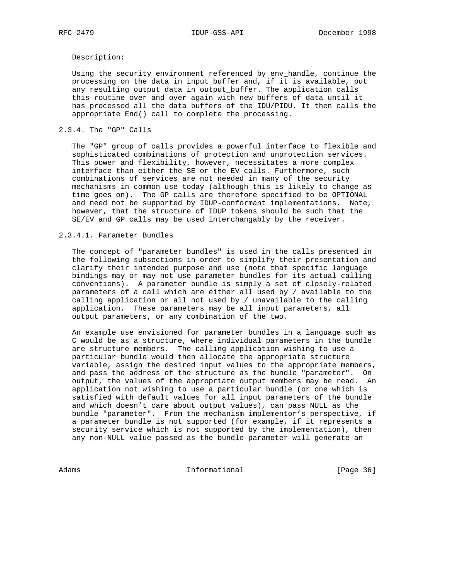## Description:

 Using the security environment referenced by env\_handle, continue the processing on the data in input\_buffer and, if it is available, put any resulting output data in output\_buffer. The application calls this routine over and over again with new buffers of data until it has processed all the data buffers of the IDU/PIDU. It then calls the appropriate End() call to complete the processing.

## 2.3.4. The "GP" Calls

 The "GP" group of calls provides a powerful interface to flexible and sophisticated combinations of protection and unprotection services. This power and flexibility, however, necessitates a more complex interface than either the SE or the EV calls. Furthermore, such combinations of services are not needed in many of the security mechanisms in common use today (although this is likely to change as time goes on). The GP calls are therefore specified to be OPTIONAL and need not be supported by IDUP-conformant implementations. Note, however, that the structure of IDUP tokens should be such that the SE/EV and GP calls may be used interchangably by the receiver.

## 2.3.4.1. Parameter Bundles

 The concept of "parameter bundles" is used in the calls presented in the following subsections in order to simplify their presentation and clarify their intended purpose and use (note that specific language bindings may or may not use parameter bundles for its actual calling conventions). A parameter bundle is simply a set of closely-related parameters of a call which are either all used by / available to the calling application or all not used by / unavailable to the calling application. These parameters may be all input parameters, all output parameters, or any combination of the two.

 An example use envisioned for parameter bundles in a language such as C would be as a structure, where individual parameters in the bundle are structure members. The calling application wishing to use a particular bundle would then allocate the appropriate structure variable, assign the desired input values to the appropriate members, and pass the address of the structure as the bundle "parameter". On output, the values of the appropriate output members may be read. An application not wishing to use a particular bundle (or one which is satisfied with default values for all input parameters of the bundle and which doesn't care about output values), can pass NULL as the bundle "parameter". From the mechanism implementor's perspective, if a parameter bundle is not supported (for example, if it represents a security service which is not supported by the implementation), then any non-NULL value passed as the bundle parameter will generate an

Adams 1nformational 1999 [Page 36]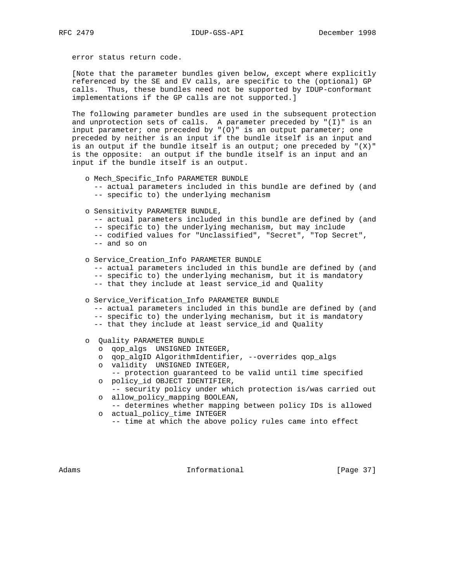error status return code.

 [Note that the parameter bundles given below, except where explicitly referenced by the SE and EV calls, are specific to the (optional) GP calls. Thus, these bundles need not be supported by IDUP-conformant implementations if the GP calls are not supported.]

 The following parameter bundles are used in the subsequent protection and unprotection sets of calls. A parameter preceded by "(I)" is an input parameter; one preceded by "(0)" is an output parameter; one preceded by neither is an input if the bundle itself is an input and is an output if the bundle itself is an output; one preceded by  $"(X)"$  is the opposite: an output if the bundle itself is an input and an input if the bundle itself is an output.

- o Mech\_Specific\_Info PARAMETER BUNDLE
	- -- actual parameters included in this bundle are defined by (and -- specific to) the underlying mechanism
- o Sensitivity PARAMETER BUNDLE,
	- -- actual parameters included in this bundle are defined by (and
	- -- specific to) the underlying mechanism, but may include
	- -- codified values for "Unclassified", "Secret", "Top Secret",
	- -- and so on
- o Service\_Creation\_Info PARAMETER BUNDLE
	- -- actual parameters included in this bundle are defined by (and
	- -- specific to) the underlying mechanism, but it is mandatory
	- -- that they include at least service\_id and Quality
- o Service\_Verification\_Info PARAMETER BUNDLE
	- -- actual parameters included in this bundle are defined by (and
	- -- specific to) the underlying mechanism, but it is mandatory
	- -- that they include at least service\_id and Quality
- o Quality PARAMETER BUNDLE
	- o qop\_algs UNSIGNED INTEGER,
	- o qop\_algID AlgorithmIdentifier, --overrides qop\_algs
	- o validity UNSIGNED INTEGER,
	- -- protection guaranteed to be valid until time specified o policy\_id OBJECT IDENTIFIER,
	- -- security policy under which protection is/was carried out o allow\_policy\_mapping BOOLEAN,
	- -- determines whether mapping between policy IDs is allowed o actual\_policy\_time INTEGER
		- -- time at which the above policy rules came into effect

Adams 1nformational 1999 [Page 37]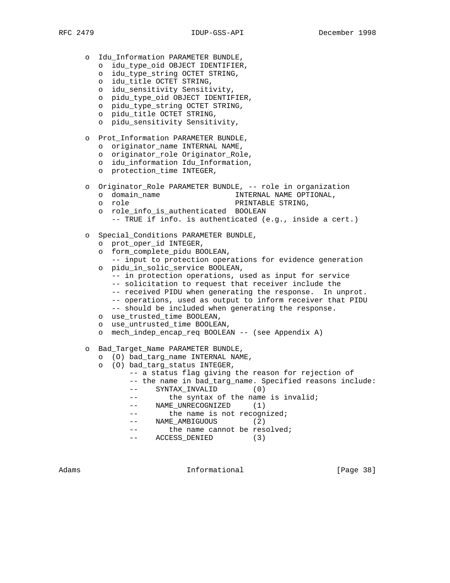- o Idu\_Information PARAMETER BUNDLE,
	- o idu\_type\_oid OBJECT IDENTIFIER,
	- o idu\_type\_string OCTET STRING,
	- o idu\_title OCTET STRING,
	- o idu\_sensitivity Sensitivity,
	- o pidu\_type\_oid OBJECT IDENTIFIER,
	- o pidu\_type\_string OCTET STRING,
	- o pidu\_title OCTET STRING,
	- o pidu\_sensitivity Sensitivity,
- o Prot\_Information PARAMETER BUNDLE,
	- o originator\_name INTERNAL NAME,
	- o originator role Originator Role,
	- o idu\_information Idu\_Information,
	- o protection\_time INTEGER,
- o Originator\_Role PARAMETER BUNDLE, -- role in organization
	- o domain\_name INTERNAL NAME OPTIONAL,
	- o role PRINTABLE STRING,
	- o role\_info\_is\_authenticated BOOLEAN
		- -- TRUE if info. is authenticated (e.g., inside a cert.)
- o Special\_Conditions PARAMETER BUNDLE,
	- o prot\_oper\_id INTEGER,
	- o form\_complete\_pidu BOOLEAN,
	- -- input to protection operations for evidence generation o pidu\_in\_solic\_service BOOLEAN,
		- -- in protection operations, used as input for service
		- -- solicitation to request that receiver include the
		- -- received PIDU when generating the response. In unprot.
		- -- operations, used as output to inform receiver that PIDU
		- -- should be included when generating the response.
	- o use\_trusted\_time BOOLEAN,
	- o use\_untrusted\_time BOOLEAN,
	- o mech\_indep\_encap\_req BOOLEAN -- (see Appendix A)
- o Bad\_Target\_Name PARAMETER BUNDLE,
	- o (O) bad\_targ\_name INTERNAL NAME,
	- o (O) bad\_targ\_status INTEGER,
		- -- a status flag giving the reason for rejection of
		- -- the name in bad\_targ\_name. Specified reasons include: -- SYNTAX\_INVALID (0)
		- -- the syntax of the name is invalid;
		- -- NAME\_UNRECOGNIZED (1)
		- -- the name is not recognized;
		- -- NAME\_AMBIGUOUS (2)
		- -- the name cannot be resolved;
		- -- ACCESS\_DENIED (3)

Adams **Informational Informational** [Page 38]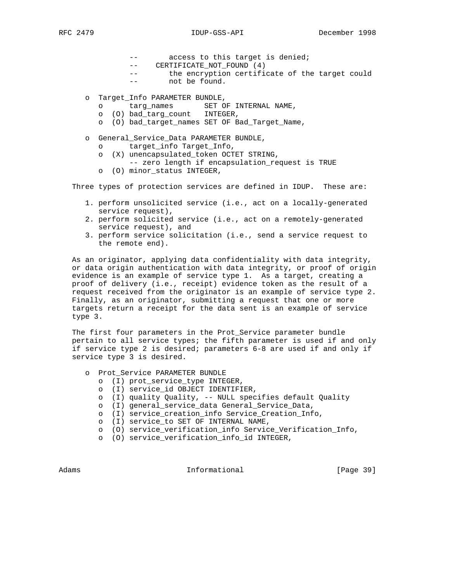- -- access to this target is denied;
- -- CERTIFICATE\_NOT\_FOUND (4)
- -- the encryption certificate of the target could
- -- not be found.
- o Target\_Info PARAMETER BUNDLE,
	- o targ\_names SET OF INTERNAL NAME,
	- o (O) bad\_targ\_count INTEGER,
	- o (O) bad\_target\_names SET OF Bad\_Target\_Name,
- o General\_Service\_Data PARAMETER BUNDLE,
	- o target\_info Target\_Info,
	- o (X) unencapsulated\_token OCTET STRING,
		- -- zero length if encapsulation\_request is TRUE
	- o (O) minor\_status INTEGER,

Three types of protection services are defined in IDUP. These are:

- 1. perform unsolicited service (i.e., act on a locally-generated service request),
- 2. perform solicited service (i.e., act on a remotely-generated service request), and
- 3. perform service solicitation (i.e., send a service request to the remote end).

 As an originator, applying data confidentiality with data integrity, or data origin authentication with data integrity, or proof of origin evidence is an example of service type 1. As a target, creating a proof of delivery (i.e., receipt) evidence token as the result of a request received from the originator is an example of service type 2. Finally, as an originator, submitting a request that one or more targets return a receipt for the data sent is an example of service type 3.

 The first four parameters in the Prot\_Service parameter bundle pertain to all service types; the fifth parameter is used if and only if service type 2 is desired; parameters 6-8 are used if and only if service type 3 is desired.

- o Prot\_Service PARAMETER BUNDLE
	- o (I) prot\_service\_type INTEGER,
	- o (I) service\_id OBJECT IDENTIFIER,
	- o (I) quality Quality, -- NULL specifies default Quality
	- o (I) general\_service\_data General\_Service\_Data,
	- o (I) service\_creation\_info Service\_Creation\_Info,
	- o (I) service\_to SET OF INTERNAL NAME,
	- o (O) service\_verification\_info Service\_Verification\_Info,
	- o (O) service\_verification\_info\_id INTEGER,

Adams **Informational Informational** [Page 39]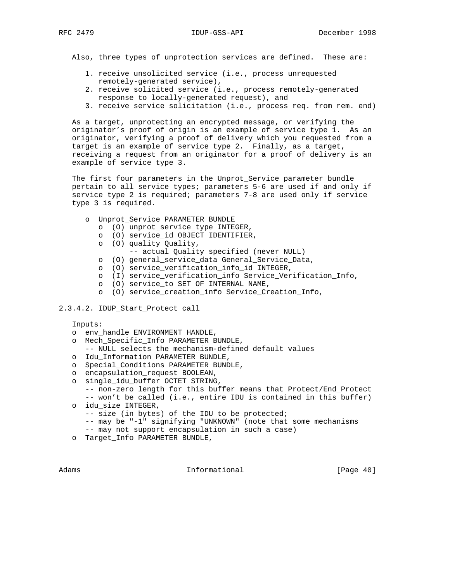Also, three types of unprotection services are defined. These are:

- 1. receive unsolicited service (i.e., process unrequested remotely-generated service),
- 2. receive solicited service (i.e., process remotely-generated response to locally-generated request), and
- 3. receive service solicitation (i.e., process req. from rem. end)

 As a target, unprotecting an encrypted message, or verifying the originator's proof of origin is an example of service type 1. As an originator, verifying a proof of delivery which you requested from a target is an example of service type 2. Finally, as a target, receiving a request from an originator for a proof of delivery is an example of service type 3.

 The first four parameters in the Unprot\_Service parameter bundle pertain to all service types; parameters 5-6 are used if and only if service type 2 is required; parameters 7-8 are used only if service type 3 is required.

- o Unprot\_Service PARAMETER BUNDLE
	- o (O) unprot\_service\_type INTEGER,
	- o (O) service\_id OBJECT IDENTIFIER,
	- o (O) quality Quality,
		- -- actual Quality specified (never NULL)
	- o (O) general\_service\_data General\_Service\_Data,
	- o (O) service\_verification\_info\_id INTEGER,
	- o (I) service\_verification\_info Service\_Verification\_Info,
	- o (O) service\_to SET OF INTERNAL NAME,
	- o (O) service\_creation\_info Service\_Creation\_Info,
- 2.3.4.2. IDUP\_Start\_Protect call

Inputs:

- o env\_handle ENVIRONMENT HANDLE,
- o Mech\_Specific\_Info PARAMETER BUNDLE,
- -- NULL selects the mechanism-defined default values
- o Idu\_Information PARAMETER BUNDLE,
- o Special\_Conditions PARAMETER BUNDLE,
- o encapsulation\_request BOOLEAN,
- o single\_idu\_buffer OCTET STRING,
	- -- non-zero length for this buffer means that Protect/End\_Protect
- -- won't be called (i.e., entire IDU is contained in this buffer) o idu\_size INTEGER,
	- -- size (in bytes) of the IDU to be protected;
	- -- may be "-1" signifying "UNKNOWN" (note that some mechanisms
	- -- may not support encapsulation in such a case)
- o Target\_Info PARAMETER BUNDLE,

Adams **Informational Informational** [Page 40]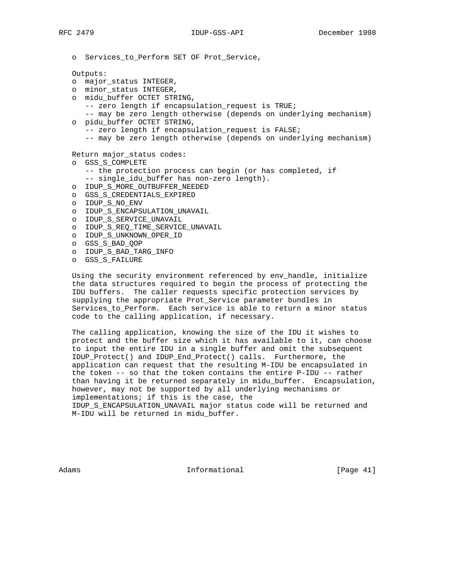o Services\_to\_Perform SET OF Prot\_Service,

Outputs:

- o major\_status INTEGER,
- o minor\_status INTEGER,
- o midu\_buffer OCTET STRING,
	- -- zero length if encapsulation\_request is TRUE;
- -- may be zero length otherwise (depends on underlying mechanism) o pidu\_buffer OCTET STRING,
	- -- zero length if encapsulation request is FALSE;
		- -- may be zero length otherwise (depends on underlying mechanism)

Return major\_status codes:

- o GSS\_S\_COMPLETE
	- -- the protection process can begin (or has completed, if
	- -- single\_idu\_buffer has non-zero length).
- o IDUP\_S\_MORE\_OUTBUFFER\_NEEDED
- o GSS\_S\_CREDENTIALS\_EXPIRED
- o IDUP\_S\_NO\_ENV
- o IDUP\_S\_ENCAPSULATION\_UNAVAIL
- o IDUP\_S\_SERVICE\_UNAVAIL
- o IDUP\_S\_REQ\_TIME\_SERVICE\_UNAVAIL
- o IDUP\_S\_UNKNOWN\_OPER\_ID
- o GSS\_S\_BAD\_QOP
- o IDUP\_S\_BAD\_TARG\_INFO
- o GSS\_S\_FAILURE

 Using the security environment referenced by env\_handle, initialize the data structures required to begin the process of protecting the IDU buffers. The caller requests specific protection services by supplying the appropriate Prot\_Service parameter bundles in Services\_to\_Perform. Each service is able to return a minor status code to the calling application, if necessary.

 The calling application, knowing the size of the IDU it wishes to protect and the buffer size which it has available to it, can choose to input the entire IDU in a single buffer and omit the subsequent IDUP\_Protect() and IDUP\_End\_Protect() calls. Furthermore, the application can request that the resulting M-IDU be encapsulated in the token -- so that the token contains the entire P-IDU -- rather than having it be returned separately in midu\_buffer. Encapsulation, however, may not be supported by all underlying mechanisms or implementations; if this is the case, the

 IDUP\_S\_ENCAPSULATION\_UNAVAIL major status code will be returned and M-IDU will be returned in midu\_buffer.

Adams **Informational Informational** [Page 41]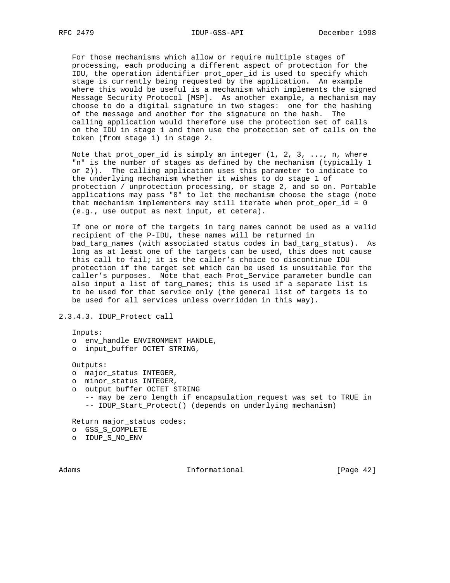For those mechanisms which allow or require multiple stages of processing, each producing a different aspect of protection for the IDU, the operation identifier prot\_oper\_id is used to specify which stage is currently being requested by the application. An example where this would be useful is a mechanism which implements the signed Message Security Protocol [MSP]. As another example, a mechanism may choose to do a digital signature in two stages: one for the hashing of the message and another for the signature on the hash. The calling application would therefore use the protection set of calls on the IDU in stage 1 and then use the protection set of calls on the token (from stage 1) in stage 2.

Note that prot\_oper\_id is simply an integer  $(1, 2, 3, \ldots, n)$ , where "n" is the number of stages as defined by the mechanism (typically 1 or 2)). The calling application uses this parameter to indicate to the underlying mechanism whether it wishes to do stage 1 of protection / unprotection processing, or stage 2, and so on. Portable applications may pass "0" to let the mechanism choose the stage (note that mechanism implementers may still iterate when prot\_oper\_id = 0 (e.g., use output as next input, et cetera).

 If one or more of the targets in targ\_names cannot be used as a valid recipient of the P-IDU, these names will be returned in bad\_targ\_names (with associated status codes in bad\_targ\_status). As long as at least one of the targets can be used, this does not cause this call to fail; it is the caller's choice to discontinue IDU protection if the target set which can be used is unsuitable for the caller's purposes. Note that each Prot\_Service parameter bundle can also input a list of targ\_names; this is used if a separate list is to be used for that service only (the general list of targets is to be used for all services unless overridden in this way).

2.3.4.3. IDUP\_Protect call

Inputs:

- o env\_handle ENVIRONMENT HANDLE,
- o input\_buffer OCTET STRING,

Outputs:

- o major\_status INTEGER,
- o minor\_status INTEGER,
- o output\_buffer OCTET STRING
	- -- may be zero length if encapsulation\_request was set to TRUE in -- IDUP\_Start\_Protect() (depends on underlying mechanism)

Return major\_status codes:

- o GSS\_S\_COMPLETE
- o IDUP\_S\_NO\_ENV

Adams **Informational Informational** [Page 42]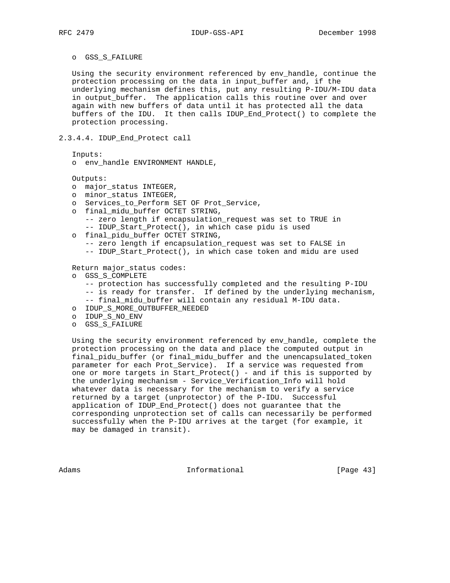#### o GSS\_S\_FAILURE

 Using the security environment referenced by env\_handle, continue the protection processing on the data in input\_buffer and, if the underlying mechanism defines this, put any resulting P-IDU/M-IDU data in output\_buffer. The application calls this routine over and over again with new buffers of data until it has protected all the data buffers of the IDU. It then calls IDUP\_End\_Protect() to complete the protection processing.

## 2.3.4.4. IDUP\_End\_Protect call

Inputs:

o env\_handle ENVIRONMENT HANDLE,

Outputs:

- o major\_status INTEGER,
- o minor\_status INTEGER,
- o Services\_to\_Perform SET OF Prot\_Service,
- o final\_midu\_buffer OCTET STRING,
	- -- zero length if encapsulation\_request was set to TRUE in
	- -- IDUP\_Start\_Protect(), in which case pidu is used
- o final\_pidu\_buffer OCTET STRING,
	- -- zero length if encapsulation\_request was set to FALSE in
	- -- IDUP\_Start\_Protect(), in which case token and midu are used

Return major\_status codes:

- o GSS\_S\_COMPLETE
	- -- protection has successfully completed and the resulting P-IDU
	- -- is ready for transfer. If defined by the underlying mechanism,
	- -- final\_midu\_buffer will contain any residual M-IDU data.
- o IDUP\_S\_MORE\_OUTBUFFER\_NEEDED
- o IDUP\_S\_NO\_ENV
- o GSS\_S\_FAILURE

 Using the security environment referenced by env\_handle, complete the protection processing on the data and place the computed output in final\_pidu\_buffer (or final\_midu\_buffer and the unencapsulated\_token parameter for each Prot\_Service). If a service was requested from one or more targets in Start\_Protect() - and if this is supported by the underlying mechanism - Service\_Verification\_Info will hold whatever data is necessary for the mechanism to verify a service returned by a target (unprotector) of the P-IDU. Successful application of IDUP\_End\_Protect() does not guarantee that the corresponding unprotection set of calls can necessarily be performed successfully when the P-IDU arrives at the target (for example, it may be damaged in transit).

Adams **Informational Informational** [Page 43]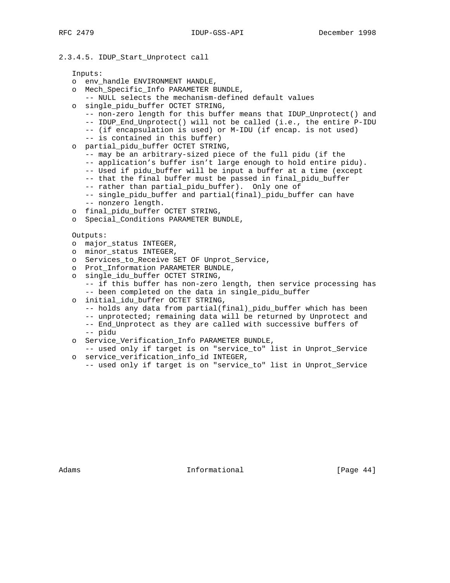### 2.3.4.5. IDUP\_Start\_Unprotect call

Inputs:

- o env\_handle ENVIRONMENT HANDLE,
- o Mech\_Specific\_Info PARAMETER BUNDLE,
	- -- NULL selects the mechanism-defined default values
- o single\_pidu\_buffer OCTET STRING,
	- -- non-zero length for this buffer means that IDUP\_Unprotect() and
	- -- IDUP\_End\_Unprotect() will not be called (i.e., the entire P-IDU
	- -- (if encapsulation is used) or M-IDU (if encap. is not used)
	- -- is contained in this buffer)
- o partial\_pidu\_buffer OCTET STRING,
	- -- may be an arbitrary-sized piece of the full pidu (if the
	- -- application's buffer isn't large enough to hold entire pidu).
	- -- Used if pidu\_buffer will be input a buffer at a time (except
	- -- that the final buffer must be passed in final\_pidu\_buffer
	- -- rather than partial\_pidu\_buffer). Only one of
	- -- single\_pidu\_buffer and partial(final)\_pidu\_buffer can have
	- -- nonzero length.
- o final\_pidu\_buffer OCTET STRING,
- o Special\_Conditions PARAMETER BUNDLE,

Outputs:

- o major\_status INTEGER,
- o minor\_status INTEGER,
- o Services\_to\_Receive SET OF Unprot\_Service,
- o Prot\_Information PARAMETER BUNDLE,
- o single\_idu\_buffer OCTET STRING,
	- -- if this buffer has non-zero length, then service processing has -- been completed on the data in single\_pidu\_buffer
- o initial\_idu\_buffer OCTET STRING,
	- -- holds any data from partial(final)\_pidu\_buffer which has been
	- -- unprotected; remaining data will be returned by Unprotect and
	- -- End\_Unprotect as they are called with successive buffers of -- pidu
- o Service\_Verification\_Info PARAMETER BUNDLE,
- -- used only if target is on "service\_to" list in Unprot\_Service o service\_verification\_info\_id INTEGER,
	- -- used only if target is on "service\_to" list in Unprot\_Service

Adams **Informational Informational** [Page 44]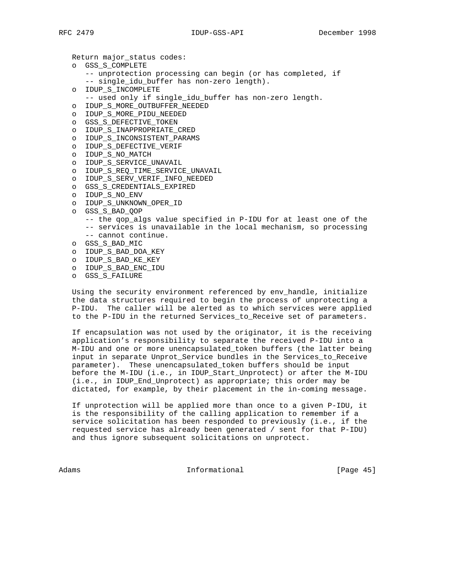Return major\_status codes:

- o GSS\_S\_COMPLETE
	- -- unprotection processing can begin (or has completed, if
	- -- single\_idu\_buffer has non-zero length).
- o IDUP\_S\_INCOMPLETE
- -- used only if single\_idu\_buffer has non-zero length.
- o IDUP\_S\_MORE\_OUTBUFFER\_NEEDED
- o IDUP\_S\_MORE\_PIDU\_NEEDED
- o GSS\_S\_DEFECTIVE\_TOKEN
- o IDUP\_S\_INAPPROPRIATE\_CRED
- o IDUP\_S\_INCONSISTENT\_PARAMS
- o IDUP\_S\_DEFECTIVE\_VERIF
- o IDUP\_S\_NO\_MATCH
- o IDUP\_S\_SERVICE\_UNAVAIL
- o IDUP\_S\_REQ\_TIME\_SERVICE\_UNAVAIL
	- o IDUP\_S\_SERV\_VERIF\_INFO\_NEEDED
	- o GSS\_S\_CREDENTIALS\_EXPIRED
	- o IDUP\_S\_NO\_ENV
	- o IDUP\_S\_UNKNOWN\_OPER\_ID
	- o GSS\_S\_BAD\_QOP
		- -- the qop\_algs value specified in P-IDU for at least one of the -- services is unavailable in the local mechanism, so processing
		- -- cannot continue.
	- o GSS\_S\_BAD\_MIC
	- o IDUP\_S\_BAD\_DOA\_KEY
	- o IDUP\_S\_BAD\_KE\_KEY
	- o IDUP\_S\_BAD\_ENC\_IDU
	- o GSS\_S\_FAILURE

 Using the security environment referenced by env\_handle, initialize the data structures required to begin the process of unprotecting a P-IDU. The caller will be alerted as to which services were applied to the P-IDU in the returned Services\_to\_Receive set of parameters.

 If encapsulation was not used by the originator, it is the receiving application's responsibility to separate the received P-IDU into a M-IDU and one or more unencapsulated\_token buffers (the latter being input in separate Unprot\_Service bundles in the Services\_to\_Receive parameter). These unencapsulated\_token buffers should be input before the M-IDU (i.e., in IDUP\_Start\_Unprotect) or after the M-IDU (i.e., in IDUP\_End\_Unprotect) as appropriate; this order may be dictated, for example, by their placement in the in-coming message.

 If unprotection will be applied more than once to a given P-IDU, it is the responsibility of the calling application to remember if a service solicitation has been responded to previously (i.e., if the requested service has already been generated / sent for that P-IDU) and thus ignore subsequent solicitations on unprotect.

Adams **Informational Informational** [Page 45]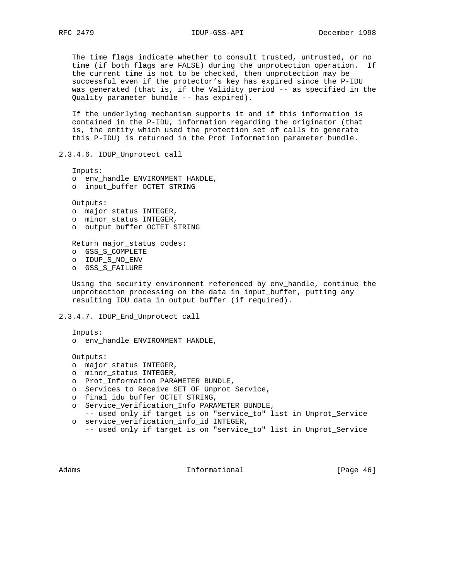The time flags indicate whether to consult trusted, untrusted, or no time (if both flags are FALSE) during the unprotection operation. If the current time is not to be checked, then unprotection may be successful even if the protector's key has expired since the P-IDU was generated (that is, if the Validity period -- as specified in the Quality parameter bundle -- has expired).

 If the underlying mechanism supports it and if this information is contained in the P-IDU, information regarding the originator (that is, the entity which used the protection set of calls to generate this P-IDU) is returned in the Prot\_Information parameter bundle.

2.3.4.6. IDUP\_Unprotect call

Inputs:

- o env\_handle ENVIRONMENT HANDLE,
- o input\_buffer OCTET STRING

Outputs:

- o major\_status INTEGER,
- o minor\_status INTEGER,
- o output\_buffer OCTET STRING

Return major\_status codes:

- o GSS\_S\_COMPLETE
- o IDUP\_S\_NO\_ENV
- o GSS\_S\_FAILURE

 Using the security environment referenced by env\_handle, continue the unprotection processing on the data in input\_buffer, putting any resulting IDU data in output\_buffer (if required).

2.3.4.7. IDUP\_End\_Unprotect call

Inputs:

o env\_handle ENVIRONMENT HANDLE,

Outputs:

- o major\_status INTEGER,
- o minor\_status INTEGER,
- o Prot\_Information PARAMETER BUNDLE,
- o Services\_to\_Receive SET OF Unprot\_Service,
- o final\_idu\_buffer OCTET STRING,
- o Service\_Verification\_Info PARAMETER BUNDLE,
- -- used only if target is on "service\_to" list in Unprot\_Service o service\_verification\_info\_id INTEGER,
- -- used only if target is on "service\_to" list in Unprot\_Service

Adams **Informational Informational** [Page 46]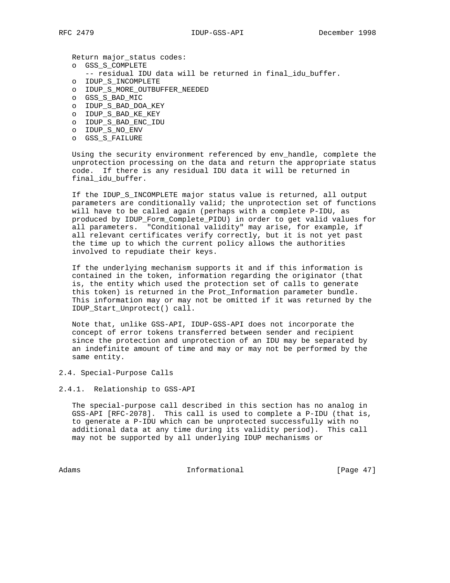Return major\_status codes:

- o GSS\_S\_COMPLETE
	- -- residual IDU data will be returned in final\_idu\_buffer.
- o IDUP\_S\_INCOMPLETE
- o IDUP\_S\_MORE\_OUTBUFFER\_NEEDED
- o GSS\_S\_BAD\_MIC
- o IDUP\_S\_BAD\_DOA\_KEY
- o IDUP\_S\_BAD\_KE\_KEY
- o IDUP\_S\_BAD\_ENC\_IDU
- o IDUP\_S\_NO\_ENV
- o GSS\_S\_FAILURE

 Using the security environment referenced by env\_handle, complete the unprotection processing on the data and return the appropriate status code. If there is any residual IDU data it will be returned in final\_idu\_buffer.

 If the IDUP\_S\_INCOMPLETE major status value is returned, all output parameters are conditionally valid; the unprotection set of functions will have to be called again (perhaps with a complete P-IDU, as produced by IDUP\_Form\_Complete\_PIDU) in order to get valid values for all parameters. "Conditional validity" may arise, for example, if all relevant certificates verify correctly, but it is not yet past the time up to which the current policy allows the authorities involved to repudiate their keys.

 If the underlying mechanism supports it and if this information is contained in the token, information regarding the originator (that is, the entity which used the protection set of calls to generate this token) is returned in the Prot\_Information parameter bundle. This information may or may not be omitted if it was returned by the IDUP\_Start\_Unprotect() call.

 Note that, unlike GSS-API, IDUP-GSS-API does not incorporate the concept of error tokens transferred between sender and recipient since the protection and unprotection of an IDU may be separated by an indefinite amount of time and may or may not be performed by the same entity.

2.4. Special-Purpose Calls

2.4.1. Relationship to GSS-API

 The special-purpose call described in this section has no analog in GSS-API [RFC-2078]. This call is used to complete a P-IDU (that is, to generate a P-IDU which can be unprotected successfully with no additional data at any time during its validity period). This call may not be supported by all underlying IDUP mechanisms or

Adams Informational [Page 47]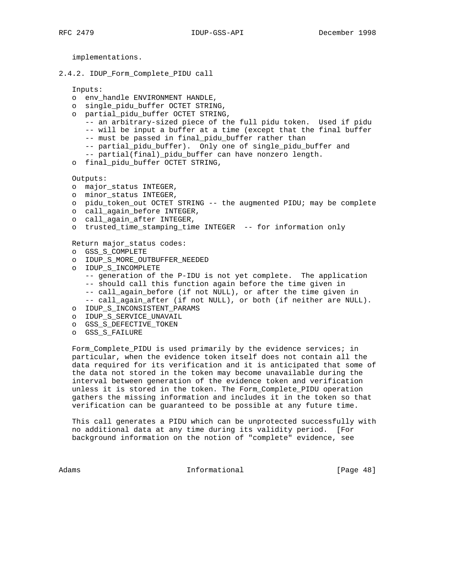implementations.

2.4.2. IDUP\_Form\_Complete\_PIDU call

Inputs:

- o env\_handle ENVIRONMENT HANDLE,
- o single\_pidu\_buffer OCTET STRING,
- o partial\_pidu\_buffer OCTET STRING,
	- -- an arbitrary-sized piece of the full pidu token. Used if pidu
	- -- will be input a buffer at a time (except that the final buffer
	- -- must be passed in final\_pidu\_buffer rather than
	- -- partial\_pidu\_buffer). Only one of single\_pidu\_buffer and
	- -- partial(final) pidu buffer can have nonzero length.
- o final\_pidu\_buffer OCTET STRING,

Outputs:

- o major\_status INTEGER,
- o minor\_status INTEGER,
- o pidu\_token\_out OCTET STRING -- the augmented PIDU; may be complete
- o call\_again\_before INTEGER,
- o call\_again\_after INTEGER,
- o trusted\_time\_stamping\_time INTEGER -- for information only
- Return major\_status codes:
- o GSS\_S\_COMPLETE
- o IDUP\_S\_MORE\_OUTBUFFER\_NEEDED
- o IDUP\_S\_INCOMPLETE
	- -- generation of the P-IDU is not yet complete. The application -- should call this function again before the time given in
	- -- call\_again\_before (if not NULL), or after the time given in
	- -- call\_again\_after (if not NULL), or both (if neither are NULL).
- o IDUP\_S\_INCONSISTENT\_PARAMS
- o IDUP\_S\_SERVICE\_UNAVAIL
- o GSS\_S\_DEFECTIVE\_TOKEN
- o GSS\_S\_FAILURE

 Form\_Complete\_PIDU is used primarily by the evidence services; in particular, when the evidence token itself does not contain all the data required for its verification and it is anticipated that some of the data not stored in the token may become unavailable during the interval between generation of the evidence token and verification unless it is stored in the token. The Form\_Complete\_PIDU operation gathers the missing information and includes it in the token so that verification can be guaranteed to be possible at any future time.

 This call generates a PIDU which can be unprotected successfully with no additional data at any time during its validity period. [For background information on the notion of "complete" evidence, see

Adams 1nformational 1999 [Page 48]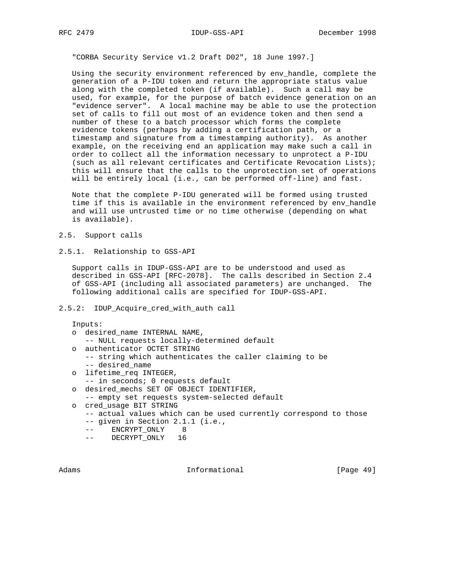"CORBA Security Service v1.2 Draft D02", 18 June 1997.]

 Using the security environment referenced by env\_handle, complete the generation of a P-IDU token and return the appropriate status value along with the completed token (if available). Such a call may be used, for example, for the purpose of batch evidence generation on an "evidence server". A local machine may be able to use the protection set of calls to fill out most of an evidence token and then send a number of these to a batch processor which forms the complete evidence tokens (perhaps by adding a certification path, or a timestamp and signature from a timestamping authority). As another example, on the receiving end an application may make such a call in order to collect all the information necessary to unprotect a P-IDU (such as all relevant certificates and Certificate Revocation Lists); this will ensure that the calls to the unprotection set of operations will be entirely local (i.e., can be performed off-line) and fast.

 Note that the complete P-IDU generated will be formed using trusted time if this is available in the environment referenced by env\_handle and will use untrusted time or no time otherwise (depending on what is available).

- 2.5. Support calls
- 2.5.1. Relationship to GSS-API

 Support calls in IDUP-GSS-API are to be understood and used as described in GSS-API [RFC-2078]. The calls described in Section 2.4 of GSS-API (including all associated parameters) are unchanged. The following additional calls are specified for IDUP-GSS-API.

2.5.2: IDUP\_Acquire\_cred\_with\_auth call

Inputs:

- o desired\_name INTERNAL NAME, -- NULL requests locally-determined default o authenticator OCTET STRING -- string which authenticates the caller claiming to be -- desired\_name o lifetime\_req INTEGER, -- in seconds; 0 requests default
- o desired\_mechs SET OF OBJECT IDENTIFIER,
- -- empty set requests system-selected default
- o cred\_usage BIT STRING
	- -- actual values which can be used currently correspond to those
	- -- given in Section 2.1.1 (i.e.,
	- -- ENCRYPT\_ONLY 8
	- -- DECRYPT\_ONLY 16

Adams **Informational Informational** [Page 49]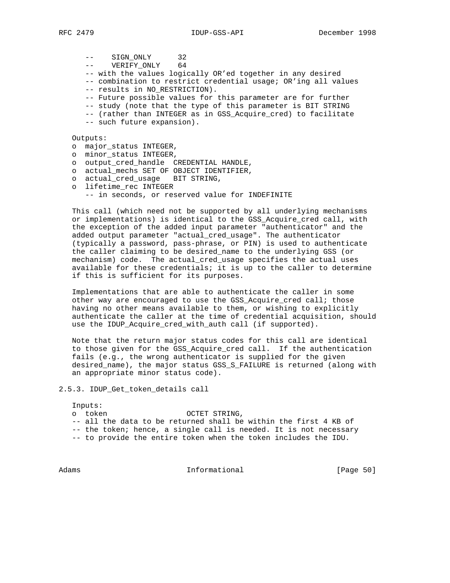-- SIGN\_ONLY 32 -- VERIFY\_ONLY 64 -- with the values logically OR'ed together in any desired -- combination to restrict credential usage; OR'ing all values -- results in NO\_RESTRICTION). -- Future possible values for this parameter are for further -- study (note that the type of this parameter is BIT STRING -- (rather than INTEGER as in GSS\_Acquire\_cred) to facilitate -- such future expansion). Outputs: o major\_status INTEGER, o minor\_status INTEGER, o output\_cred\_handle CREDENTIAL HANDLE, o actual\_mechs SET OF OBJECT IDENTIFIER,

- o actual\_cred\_usage BIT STRING,
- o lifetime\_rec INTEGER -- in seconds, or reserved value for INDEFINITE

 This call (which need not be supported by all underlying mechanisms or implementations) is identical to the GSS\_Acquire\_cred call, with the exception of the added input parameter "authenticator" and the added output parameter "actual\_cred\_usage". The authenticator (typically a password, pass-phrase, or PIN) is used to authenticate the caller claiming to be desired\_name to the underlying GSS (or mechanism) code. The actual\_cred\_usage specifies the actual uses available for these credentials; it is up to the caller to determine if this is sufficient for its purposes.

 Implementations that are able to authenticate the caller in some other way are encouraged to use the GSS\_Acquire\_cred call; those having no other means available to them, or wishing to explicitly authenticate the caller at the time of credential acquisition, should use the IDUP\_Acquire\_cred\_with\_auth call (if supported).

 Note that the return major status codes for this call are identical to those given for the GSS\_Acquire\_cred call. If the authentication fails (e.g., the wrong authenticator is supplied for the given desired\_name), the major status GSS\_S\_FAILURE is returned (along with an appropriate minor status code).

2.5.3. IDUP\_Get\_token\_details call

Inputs:

- o token OCTET STRING,
- -- all the data to be returned shall be within the first 4 KB of
- -- the token; hence, a single call is needed. It is not necessary
- -- to provide the entire token when the token includes the IDU.

Adams 1nformational 1999 [Page 50]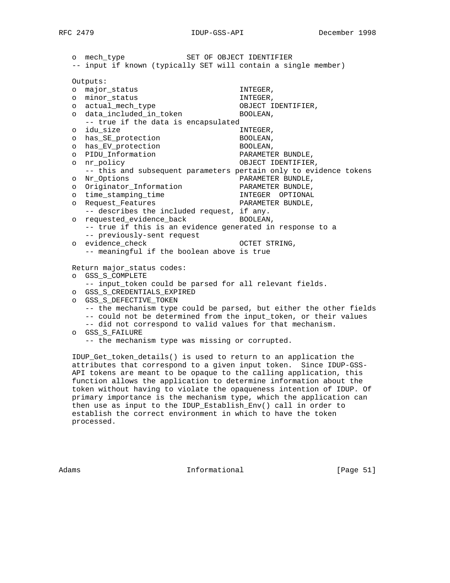o mech\_type SET OF OBJECT IDENTIFIER -- input if known (typically SET will contain a single member) Outputs: o major\_status INTEGER, o minor\_status INTEGER, o actual\_mech\_type o data\_included\_in\_token BOOLEAN, -- true if the data is encapsulated o idu\_size INTEGER, o has\_SE\_protection BOOLEAN, o has\_EV\_protection BOOLEAN, o PIDU\_Information PARAMETER BUNDLE, o nr\_policy OBJECT IDENTIFIER, -- this and subsequent parameters pertain only to evidence tokens o Nr\_Options<br>
o Originator\_Information<br>
PARAMETER BUNDLE, o Originator\_Information o time\_stamping\_time INTEGER OPTIONAL o Request\_Features extending the PARAMETER BUNDLE, -- describes the included request, if any. o requested\_evidence\_back BOOLEAN, -- true if this is an evidence generated in response to a -- previously-sent request o evidence\_check OCTET STRING, -- meaningful if the boolean above is true Return major\_status codes: o GSS\_S\_COMPLETE -- input\_token could be parsed for all relevant fields. o GSS\_S\_CREDENTIALS\_EXPIRED o GSS\_S\_DEFECTIVE\_TOKEN -- the mechanism type could be parsed, but either the other fields -- could not be determined from the input\_token, or their values -- did not correspond to valid values for that mechanism. o GSS\_S\_FAILURE

-- the mechanism type was missing or corrupted.

 IDUP\_Get\_token\_details() is used to return to an application the attributes that correspond to a given input token. Since IDUP-GSS- API tokens are meant to be opaque to the calling application, this function allows the application to determine information about the token without having to violate the opaqueness intention of IDUP. Of primary importance is the mechanism type, which the application can then use as input to the IDUP\_Establish\_Env() call in order to establish the correct environment in which to have the token processed.

Adams **Informational Informational** [Page 51]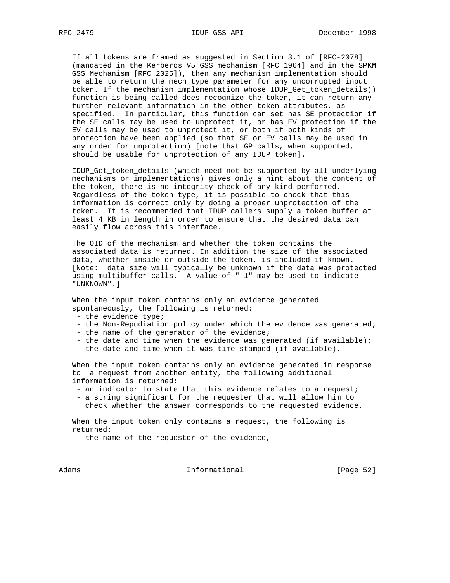If all tokens are framed as suggested in Section 3.1 of [RFC-2078] (mandated in the Kerberos V5 GSS mechanism [RFC 1964] and in the SPKM GSS Mechanism [RFC 2025]), then any mechanism implementation should be able to return the mech\_type parameter for any uncorrupted input token. If the mechanism implementation whose IDUP\_Get\_token\_details() function is being called does recognize the token, it can return any further relevant information in the other token attributes, as specified. In particular, this function can set has\_SE\_protection if the SE calls may be used to unprotect it, or has\_EV\_protection if the EV calls may be used to unprotect it, or both if both kinds of protection have been applied (so that SE or EV calls may be used in any order for unprotection) [note that GP calls, when supported, should be usable for unprotection of any IDUP token].

 IDUP\_Get\_token\_details (which need not be supported by all underlying mechanisms or implementations) gives only a hint about the content of the token, there is no integrity check of any kind performed. Regardless of the token type, it is possible to check that this information is correct only by doing a proper unprotection of the token. It is recommended that IDUP callers supply a token buffer at least 4 KB in length in order to ensure that the desired data can easily flow across this interface.

 The OID of the mechanism and whether the token contains the associated data is returned. In addition the size of the associated data, whether inside or outside the token, is included if known. [Note: data size will typically be unknown if the data was protected using multibuffer calls. A value of "-1" may be used to indicate "UNKNOWN".]

 When the input token contains only an evidence generated spontaneously, the following is returned:

- the evidence type;
- the Non-Repudiation policy under which the evidence was generated;
- the name of the generator of the evidence;
- the date and time when the evidence was generated (if available);
- the date and time when it was time stamped (if available).

 When the input token contains only an evidence generated in response to a request from another entity, the following additional information is returned:

- an indicator to state that this evidence relates to a request;
- a string significant for the requester that will allow him to check whether the answer corresponds to the requested evidence.

 When the input token only contains a request, the following is returned:

- the name of the requestor of the evidence,

Adams 1nformational 1999 [Page 52]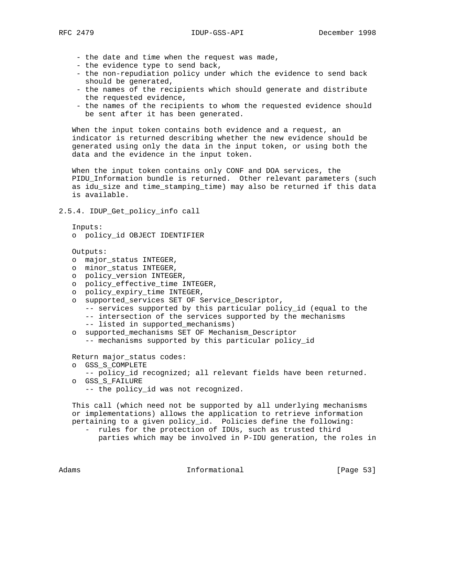- the date and time when the request was made,
- the evidence type to send back,
- the non-repudiation policy under which the evidence to send back should be generated,
- the names of the recipients which should generate and distribute the requested evidence,
- the names of the recipients to whom the requested evidence should be sent after it has been generated.

 When the input token contains both evidence and a request, an indicator is returned describing whether the new evidence should be generated using only the data in the input token, or using both the data and the evidence in the input token.

 When the input token contains only CONF and DOA services, the PIDU Information bundle is returned. Other relevant parameters (such as idu\_size and time\_stamping\_time) may also be returned if this data is available.

2.5.4. IDUP\_Get\_policy\_info call

```
 Inputs:
```
o policy\_id OBJECT IDENTIFIER

Outputs:

- o major\_status INTEGER,
- o minor\_status INTEGER,
- o policy\_version INTEGER,
- o policy\_effective\_time INTEGER,
- o policy\_expiry\_time INTEGER,
- o supported\_services SET OF Service\_Descriptor,
	- -- services supported by this particular policy\_id (equal to the -- intersection of the services supported by the mechanisms
	- -- listed in supported mechanisms)
- o supported\_mechanisms SET OF Mechanism\_Descriptor
	- -- mechanisms supported by this particular policy\_id

Return major\_status codes:

- o GSS\_S\_COMPLETE
	- -- policy\_id recognized; all relevant fields have been returned.
- o GSS\_S\_FAILURE
	- -- the policy\_id was not recognized.

 This call (which need not be supported by all underlying mechanisms or implementations) allows the application to retrieve information pertaining to a given policy\_id. Policies define the following:

 - rules for the protection of IDUs, such as trusted third parties which may be involved in P-IDU generation, the roles in

Adams **Informational Informational** [Page 53]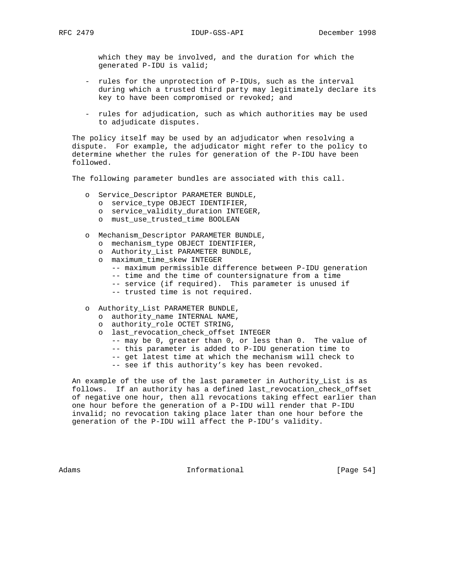which they may be involved, and the duration for which the generated P-IDU is valid;

- rules for the unprotection of P-IDUs, such as the interval during which a trusted third party may legitimately declare its key to have been compromised or revoked; and
- rules for adjudication, such as which authorities may be used to adjudicate disputes.

 The policy itself may be used by an adjudicator when resolving a dispute. For example, the adjudicator might refer to the policy to determine whether the rules for generation of the P-IDU have been followed.

The following parameter bundles are associated with this call.

- o Service\_Descriptor PARAMETER BUNDLE,
	- o service\_type OBJECT IDENTIFIER,
	- o service\_validity\_duration INTEGER,
	- o must\_use\_trusted\_time BOOLEAN
- o Mechanism\_Descriptor PARAMETER BUNDLE,
	- o mechanism\_type OBJECT IDENTIFIER,
	- o Authority\_List PARAMETER BUNDLE,
	- o maximum\_time\_skew INTEGER
		- -- maximum permissible difference between P-IDU generation
		- -- time and the time of countersignature from a time
		- -- service (if required). This parameter is unused if
		- -- trusted time is not required.
- o Authority\_List PARAMETER BUNDLE,
	- o authority\_name INTERNAL NAME,
	- o authority\_role OCTET STRING,
	- o last\_revocation\_check\_offset INTEGER
		- -- may be 0, greater than 0, or less than 0. The value of
		- -- this parameter is added to P-IDU generation time to
		- -- get latest time at which the mechanism will check to
		- -- see if this authority's key has been revoked.

 An example of the use of the last parameter in Authority\_List is as follows. If an authority has a defined last\_revocation\_check\_offset of negative one hour, then all revocations taking effect earlier than one hour before the generation of a P-IDU will render that P-IDU invalid; no revocation taking place later than one hour before the generation of the P-IDU will affect the P-IDU's validity.

Adams **Informational Informational** [Page 54]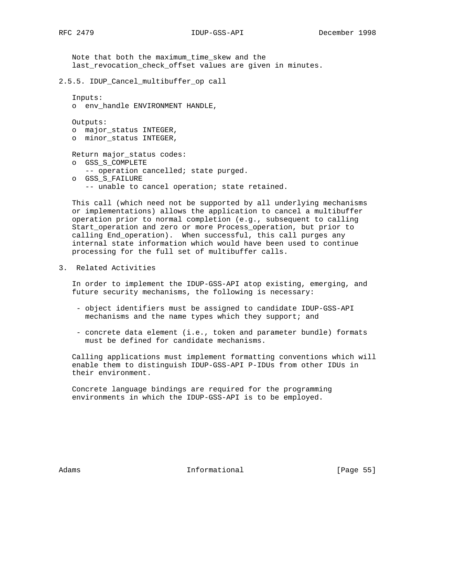Note that both the maximum\_time\_skew and the last\_revocation\_check\_offset values are given in minutes.

```
2.5.5. IDUP_Cancel_multibuffer_op call
```

```
 Inputs:
```

```
 o env_handle ENVIRONMENT HANDLE,
```
Outputs:

 o major\_status INTEGER, o minor\_status INTEGER,

Return major\_status codes:

- o GSS\_S\_COMPLETE
- -- operation cancelled; state purged.
- o GSS\_S\_FAILURE

-- unable to cancel operation; state retained.

 This call (which need not be supported by all underlying mechanisms or implementations) allows the application to cancel a multibuffer operation prior to normal completion (e.g., subsequent to calling Start\_operation and zero or more Process\_operation, but prior to calling End\_operation). When successful, this call purges any internal state information which would have been used to continue processing for the full set of multibuffer calls.

3. Related Activities

 In order to implement the IDUP-GSS-API atop existing, emerging, and future security mechanisms, the following is necessary:

- object identifiers must be assigned to candidate IDUP-GSS-API mechanisms and the name types which they support; and
- concrete data element (i.e., token and parameter bundle) formats must be defined for candidate mechanisms.

 Calling applications must implement formatting conventions which will enable them to distinguish IDUP-GSS-API P-IDUs from other IDUs in their environment.

 Concrete language bindings are required for the programming environments in which the IDUP-GSS-API is to be employed.

Adams **Informational Informational** [Page 55]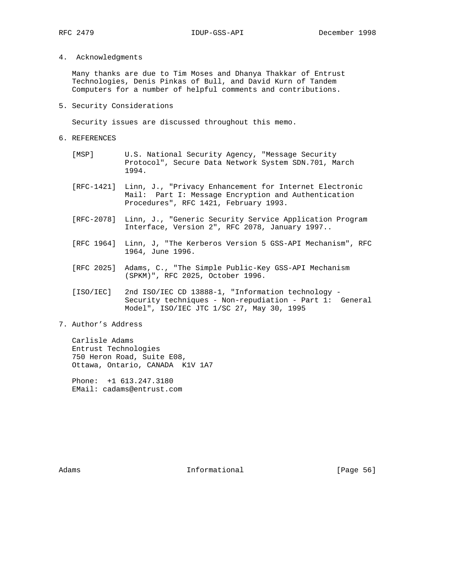# 4. Acknowledgments

 Many thanks are due to Tim Moses and Dhanya Thakkar of Entrust Technologies, Denis Pinkas of Bull, and David Kurn of Tandem Computers for a number of helpful comments and contributions.

5. Security Considerations

Security issues are discussed throughout this memo.

- 6. REFERENCES
	- [MSP] U.S. National Security Agency, "Message Security Protocol", Secure Data Network System SDN.701, March 1994.
	- [RFC-1421] Linn, J., "Privacy Enhancement for Internet Electronic Mail: Part I: Message Encryption and Authentication Procedures", RFC 1421, February 1993.
	- [RFC-2078] Linn, J., "Generic Security Service Application Program Interface, Version 2", RFC 2078, January 1997..
	- [RFC 1964] Linn, J, "The Kerberos Version 5 GSS-API Mechanism", RFC 1964, June 1996.
	- [RFC 2025] Adams, C., "The Simple Public-Key GSS-API Mechanism (SPKM)", RFC 2025, October 1996.
	- [ISO/IEC] 2nd ISO/IEC CD 13888-1, "Information technology Security techniques - Non-repudiation - Part 1: General Model", ISO/IEC JTC 1/SC 27, May 30, 1995
- 7. Author's Address

 Carlisle Adams Entrust Technologies 750 Heron Road, Suite E08, Ottawa, Ontario, CANADA K1V 1A7

 Phone: +1 613.247.3180 EMail: cadams@entrust.com

Adams **Informational Informational** [Page 56]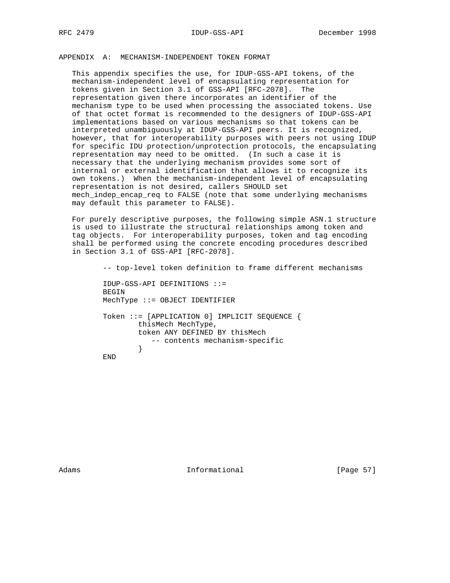APPENDIX A: MECHANISM-INDEPENDENT TOKEN FORMAT

 This appendix specifies the use, for IDUP-GSS-API tokens, of the mechanism-independent level of encapsulating representation for tokens given in Section 3.1 of GSS-API [RFC-2078]. The representation given there incorporates an identifier of the mechanism type to be used when processing the associated tokens. Use of that octet format is recommended to the designers of IDUP-GSS-API implementations based on various mechanisms so that tokens can be interpreted unambiguously at IDUP-GSS-API peers. It is recognized, however, that for interoperability purposes with peers not using IDUP for specific IDU protection/unprotection protocols, the encapsulating representation may need to be omitted. (In such a case it is necessary that the underlying mechanism provides some sort of internal or external identification that allows it to recognize its own tokens.) When the mechanism-independent level of encapsulating representation is not desired, callers SHOULD set mech\_indep\_encap\_req to FALSE (note that some underlying mechanisms may default this parameter to FALSE).

 For purely descriptive purposes, the following simple ASN.1 structure is used to illustrate the structural relationships among token and tag objects. For interoperability purposes, token and tag encoding shall be performed using the concrete encoding procedures described in Section 3.1 of GSS-API [RFC-2078].

 -- top-level token definition to frame different mechanisms IDUP-GSS-API DEFINITIONS ::= BEGIN MechType ::= OBJECT IDENTIFIER Token ::= [APPLICATION 0] IMPLICIT SEQUENCE { thisMech MechType, token ANY DEFINED BY thisMech -- contents mechanism-specific } END

Adams **Informational Informational** [Page 57]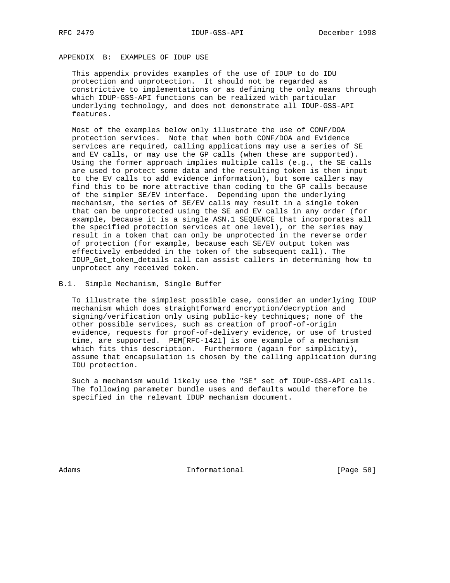# APPENDIX B: EXAMPLES OF IDUP USE

 This appendix provides examples of the use of IDUP to do IDU protection and unprotection. It should not be regarded as constrictive to implementations or as defining the only means through which IDUP-GSS-API functions can be realized with particular underlying technology, and does not demonstrate all IDUP-GSS-API features.

 Most of the examples below only illustrate the use of CONF/DOA protection services. Note that when both CONF/DOA and Evidence services are required, calling applications may use a series of SE and EV calls, or may use the GP calls (when these are supported). Using the former approach implies multiple calls (e.g., the SE calls are used to protect some data and the resulting token is then input to the EV calls to add evidence information), but some callers may find this to be more attractive than coding to the GP calls because of the simpler SE/EV interface. Depending upon the underlying mechanism, the series of SE/EV calls may result in a single token that can be unprotected using the SE and EV calls in any order (for example, because it is a single ASN.1 SEQUENCE that incorporates all the specified protection services at one level), or the series may result in a token that can only be unprotected in the reverse order of protection (for example, because each SE/EV output token was effectively embedded in the token of the subsequent call). The IDUP\_Get\_token\_details call can assist callers in determining how to unprotect any received token.

B.1. Simple Mechanism, Single Buffer

 To illustrate the simplest possible case, consider an underlying IDUP mechanism which does straightforward encryption/decryption and signing/verification only using public-key techniques; none of the other possible services, such as creation of proof-of-origin evidence, requests for proof-of-delivery evidence, or use of trusted time, are supported. PEM[RFC-1421] is one example of a mechanism which fits this description. Furthermore (again for simplicity), assume that encapsulation is chosen by the calling application during IDU protection.

 Such a mechanism would likely use the "SE" set of IDUP-GSS-API calls. The following parameter bundle uses and defaults would therefore be specified in the relevant IDUP mechanism document.

Adams **Informational Informational** [Page 58]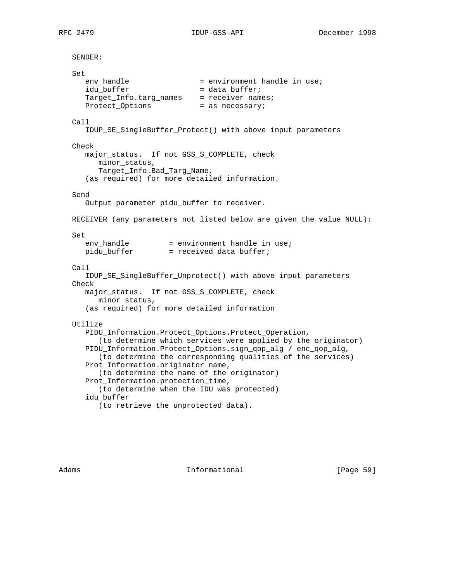```
 SENDER:
   Set
env_handle = environment handle in use;
idu_buffer = data buffer;
Target_Info.targ_names = receiver names;
     Protect_Options = as necessary;
   Call
      IDUP_SE_SingleBuffer_Protect() with above input parameters
   Check
      major_status. If not GSS_S_COMPLETE, check
         minor_status,
         Target_Info.Bad_Targ_Name,
      (as required) for more detailed information.
   Send
      Output parameter pidu_buffer to receiver.
   RECEIVER (any parameters not listed below are given the value NULL):
   Set
     env_handle = environment handle in use;<br>pidu_buffer = received data buffer;
                       = received data buffer;
  C<sub>a</sub>11 IDUP_SE_SingleBuffer_Unprotect() with above input parameters
   Check
      major_status. If not GSS_S_COMPLETE, check
         minor_status,
      (as required) for more detailed information
   Utilize
      PIDU_Information.Protect_Options.Protect_Operation,
         (to determine which services were applied by the originator)
      PIDU_Information.Protect_Options.sign_qop_alg / enc_qop_alg,
         (to determine the corresponding qualities of the services)
      Prot_Information.originator_name,
         (to determine the name of the originator)
      Prot_Information.protection_time,
         (to determine when the IDU was protected)
      idu_buffer
```
Adams **Informational Informational** [Page 59]

(to retrieve the unprotected data).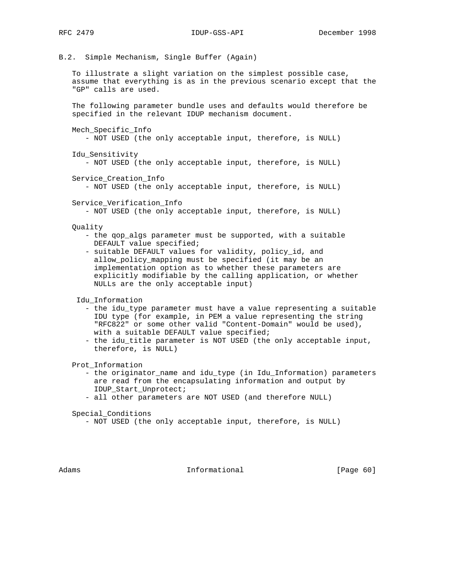B.2. Simple Mechanism, Single Buffer (Again)

 To illustrate a slight variation on the simplest possible case, assume that everything is as in the previous scenario except that the "GP" calls are used.

 The following parameter bundle uses and defaults would therefore be specified in the relevant IDUP mechanism document.

```
 Mech_Specific_Info
```
- NOT USED (the only acceptable input, therefore, is NULL)

Idu\_Sensitivity

- NOT USED (the only acceptable input, therefore, is NULL)

Service Creation Info

- NOT USED (the only acceptable input, therefore, is NULL)

Service\_Verification\_Info

- NOT USED (the only acceptable input, therefore, is NULL)

- Quality
	- the qop\_algs parameter must be supported, with a suitable DEFAULT value specified;
	- suitable DEFAULT values for validity, policy\_id, and allow\_policy\_mapping must be specified (it may be an implementation option as to whether these parameters are explicitly modifiable by the calling application, or whether NULLs are the only acceptable input)

Idu\_Information

- the idu\_type parameter must have a value representing a suitable IDU type (for example, in PEM a value representing the string "RFC822" or some other valid "Content-Domain" would be used), with a suitable DEFAULT value specified;
- the idu\_title parameter is NOT USED (the only acceptable input, therefore, is NULL)

Prot\_Information

- the originator\_name and idu\_type (in Idu\_Information) parameters are read from the encapsulating information and output by IDUP\_Start\_Unprotect;
- all other parameters are NOT USED (and therefore NULL)

Special\_Conditions

- NOT USED (the only acceptable input, therefore, is NULL)

Adams **Informational Informational** [Page 60]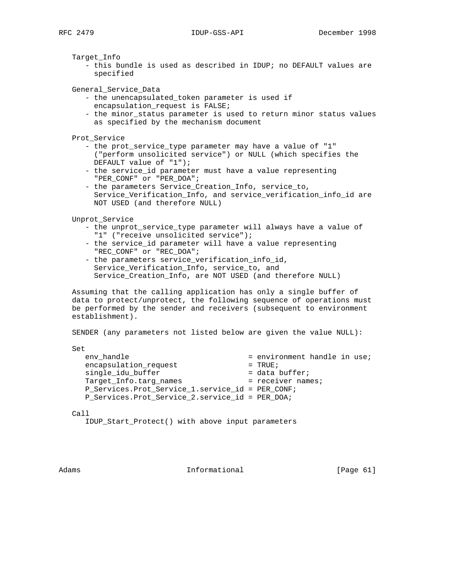Target\_Info

 - this bundle is used as described in IDUP; no DEFAULT values are specified

General\_Service\_Data

- the unencapsulated\_token parameter is used if encapsulation\_request is FALSE;
- the minor\_status parameter is used to return minor status values as specified by the mechanism document
- Prot\_Service
	- the prot\_service\_type parameter may have a value of "1" ("perform unsolicited service") or NULL (which specifies the DEFAULT value of "1");
	- the service\_id parameter must have a value representing "PER\_CONF" or "PER\_DOA";
	- the parameters Service\_Creation\_Info, service\_to, Service\_Verification\_Info, and service\_verification\_info\_id are NOT USED (and therefore NULL)

Unprot\_Service

- the unprot\_service\_type parameter will always have a value of "1" ("receive unsolicited service");
- the service\_id parameter will have a value representing "REC\_CONF" or "REC\_DOA";
- the parameters service\_verification\_info\_id, Service\_Verification\_Info, service\_to, and Service\_Creation\_Info, are NOT USED (and therefore NULL)

 Assuming that the calling application has only a single buffer of data to protect/unprotect, the following sequence of operations must be performed by the sender and receivers (subsequent to environment establishment).

SENDER (any parameters not listed below are given the value NULL):

Set

| env handle                                         | = environment handle in use; |
|----------------------------------------------------|------------------------------|
| encapsulation_request                              | $=$ TRUE;                    |
| single_idu_buffer                                  | $=$ data buffer;             |
| Target Info.targ names                             | $=$ receiver names;          |
| P Services. Prot Service 1. service id = PER CONF; |                              |
| P_Services.Prot_Service_2.service_id = PER_DOA;    |                              |

Call

IDUP\_Start\_Protect() with above input parameters

Adams **Informational Informational** [Page 61]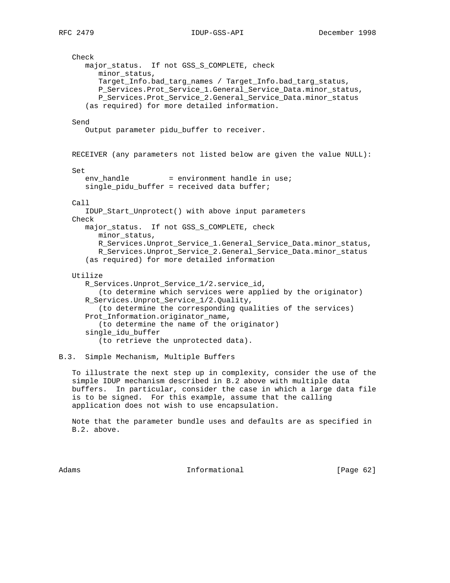Check major\_status. If not GSS\_S\_COMPLETE, check minor\_status, Target\_Info.bad\_targ\_names / Target\_Info.bad\_targ\_status, P\_Services.Prot\_Service\_1.General\_Service\_Data.minor\_status, P\_Services.Prot\_Service\_2.General\_Service\_Data.minor\_status (as required) for more detailed information. Send Output parameter pidu\_buffer to receiver. RECEIVER (any parameters not listed below are given the value NULL): Set  $env$  handle  $=$  environment handle in use; single\_pidu\_buffer = received data buffer; Call IDUP\_Start\_Unprotect() with above input parameters Check major\_status. If not GSS\_S\_COMPLETE, check minor\_status, R\_Services.Unprot\_Service\_1.General\_Service\_Data.minor\_status, R\_Services.Unprot\_Service\_2.General\_Service\_Data.minor\_status (as required) for more detailed information Utilize R\_Services.Unprot\_Service\_1/2.service\_id, (to determine which services were applied by the originator) R Services.Unprot Service 1/2.Quality, (to determine the corresponding qualities of the services) Prot\_Information.originator\_name, (to determine the name of the originator) single\_idu\_buffer (to retrieve the unprotected data).

# B.3. Simple Mechanism, Multiple Buffers

 To illustrate the next step up in complexity, consider the use of the simple IDUP mechanism described in B.2 above with multiple data buffers. In particular, consider the case in which a large data file is to be signed. For this example, assume that the calling application does not wish to use encapsulation.

 Note that the parameter bundle uses and defaults are as specified in B.2. above.

Adams **Informational Informational** [Page 62]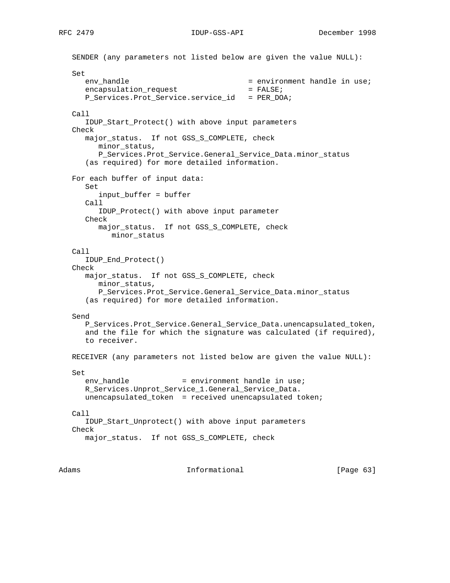SENDER (any parameters not listed below are given the value NULL): Set env\_handle = environment handle in use;<br>encapsulation\_request = FALSE; encapsulation\_request P\_Services.Prot\_Service.service\_id = PER\_DOA; Call IDUP\_Start\_Protect() with above input parameters Check major\_status. If not GSS\_S\_COMPLETE, check minor\_status, P\_Services.Prot\_Service.General\_Service\_Data.minor\_status (as required) for more detailed information. For each buffer of input data: Set input\_buffer = buffer Call IDUP\_Protect() with above input parameter Check major\_status. If not GSS\_S\_COMPLETE, check minor\_status Call IDUP\_End\_Protect() Check major\_status. If not GSS\_S\_COMPLETE, check minor\_status, P\_Services.Prot\_Service.General\_Service\_Data.minor\_status (as required) for more detailed information. Send P\_Services.Prot\_Service.General\_Service\_Data.unencapsulated\_token, and the file for which the signature was calculated (if required), to receiver. RECEIVER (any parameters not listed below are given the value NULL): Set  $env\_handle$  = environment handle in use; R\_Services.Unprot\_Service\_1.General\_Service\_Data. unencapsulated\_token = received unencapsulated token; Call IDUP\_Start\_Unprotect() with above input parameters Check major\_status. If not GSS\_S\_COMPLETE, check

Adams **Informational Informational** [Page 63]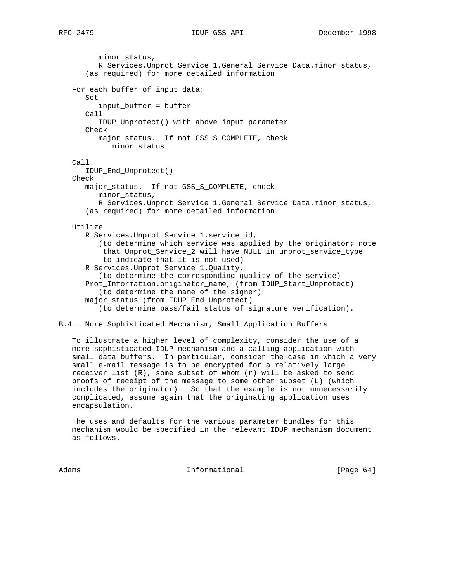minor\_status, R\_Services.Unprot\_Service\_1.General\_Service\_Data.minor\_status, (as required) for more detailed information For each buffer of input data: Set input\_buffer = buffer Call IDUP\_Unprotect() with above input parameter Check major\_status. If not GSS\_S\_COMPLETE, check minor\_status Call IDUP\_End\_Unprotect() Check major\_status. If not GSS\_S\_COMPLETE, check minor\_status, R\_Services.Unprot\_Service\_1.General\_Service\_Data.minor\_status, (as required) for more detailed information. Utilize R\_Services.Unprot\_Service\_1.service\_id, (to determine which service was applied by the originator; note that Unprot\_Service\_2 will have NULL in unprot\_service\_type to indicate that it is not used) R\_Services.Unprot\_Service\_1.Quality, (to determine the corresponding quality of the service) Prot\_Information.originator\_name, (from IDUP\_Start\_Unprotect) (to determine the name of the signer) major\_status (from IDUP\_End\_Unprotect) (to determine pass/fail status of signature verification).

## B.4. More Sophisticated Mechanism, Small Application Buffers

 To illustrate a higher level of complexity, consider the use of a more sophisticated IDUP mechanism and a calling application with small data buffers. In particular, consider the case in which a very small e-mail message is to be encrypted for a relatively large receiver list (R), some subset of whom (r) will be asked to send proofs of receipt of the message to some other subset (L) (which includes the originator). So that the example is not unnecessarily complicated, assume again that the originating application uses encapsulation.

 The uses and defaults for the various parameter bundles for this mechanism would be specified in the relevant IDUP mechanism document as follows.

Adams **Informational Informational** [Page 64]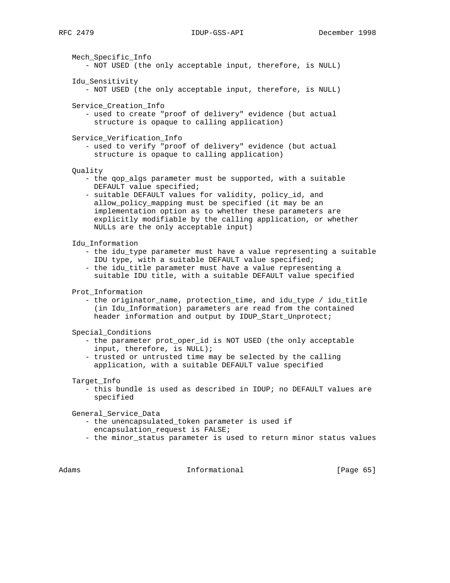Mech\_Specific\_Info - NOT USED (the only acceptable input, therefore, is NULL) Idu\_Sensitivity - NOT USED (the only acceptable input, therefore, is NULL) Service\_Creation\_Info - used to create "proof of delivery" evidence (but actual structure is opaque to calling application) Service\_Verification\_Info - used to verify "proof of delivery" evidence (but actual structure is opaque to calling application) Quality - the qop\_algs parameter must be supported, with a suitable DEFAULT value specified; - suitable DEFAULT values for validity, policy\_id, and allow\_policy\_mapping must be specified (it may be an implementation option as to whether these parameters are explicitly modifiable by the calling application, or whether NULLs are the only acceptable input) Idu\_Information - the idu\_type parameter must have a value representing a suitable IDU type, with a suitable DEFAULT value specified; - the idu\_title parameter must have a value representing a suitable IDU title, with a suitable DEFAULT value specified Prot\_Information - the originator\_name, protection\_time, and idu\_type / idu\_title (in Idu\_Information) parameters are read from the contained header information and output by IDUP\_Start\_Unprotect; Special\_Conditions - the parameter prot\_oper\_id is NOT USED (the only acceptable input, therefore, is NULL); - trusted or untrusted time may be selected by the calling application, with a suitable DEFAULT value specified Target\_Info - this bundle is used as described in IDUP; no DEFAULT values are specified General\_Service\_Data - the unencapsulated\_token parameter is used if encapsulation\_request is FALSE; - the minor\_status parameter is used to return minor status values Adams **Informational Informational** [Page 65]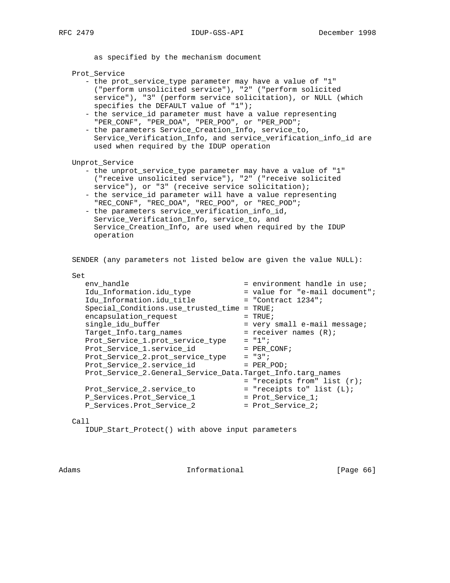as specified by the mechanism document

Prot\_Service

- the prot\_service\_type parameter may have a value of "1" ("perform unsolicited service"), "2" ("perform solicited service"), "3" (perform service solicitation), or NULL (which specifies the DEFAULT value of "1");
- the service\_id parameter must have a value representing "PER\_CONF", "PER\_DOA", "PER\_POO", or "PER\_POD";
- the parameters Service Creation Info, service to, Service\_Verification\_Info, and service\_verification\_info\_id are used when required by the IDUP operation

Unprot\_Service

- the unprot\_service\_type parameter may have a value of "1" ("receive unsolicited service"), "2" ("receive solicited service"), or "3" (receive service solicitation);
- the service\_id parameter will have a value representing "REC\_CONF", "REC\_DOA", "REC\_POO", or "REC\_POD";
- the parameters service\_verification\_info\_id, Service\_Verification\_Info, service\_to, and Service\_Creation\_Info, are used when required by the IDUP operation

SENDER (any parameters not listed below are given the value NULL):

| Set                                                        |                                  |
|------------------------------------------------------------|----------------------------------|
| env handle                                                 | $=$ environment handle in use;   |
| Idu Information.idu type                                   | = value for "e-mail document";   |
| Idu Information.idu title                                  | $=$ "Contract 1234";             |
| Special Conditions.use trusted time                        | $=$ TRUE;                        |
| encapsulation_request                                      | $=$ TRUE;                        |
| single idu buffer                                          | $=$ very small e-mail message;   |
| Target Info.targ names                                     | = receiver names $(R)$ ;         |
| Prot Service 1. prot service type                          | $= 177.$                         |
| Prot_Service_1.service_id                                  | $=$ PER CONF;                    |
| Prot_Service_2.prot_service_type                           | $= "3";$                         |
| Prot Service 2. service id                                 | $=$ PER POD;                     |
| Prot_Service_2.General_Service_Data.Target_Info.targ_names |                                  |
|                                                            | $=$ "receipts from" list $(r)$ ; |
| Prot Service 2. service to                                 | $=$ "receipts to" list $(L)$ ;   |
| P_Services.Prot_Service_1                                  | $=$ Prot Service 1;              |
| P Services. Prot Service 2                                 | $=$ Prot Service 2;              |
|                                                            |                                  |

## Call

IDUP\_Start\_Protect() with above input parameters

Adams **Informational Informational** [Page 66]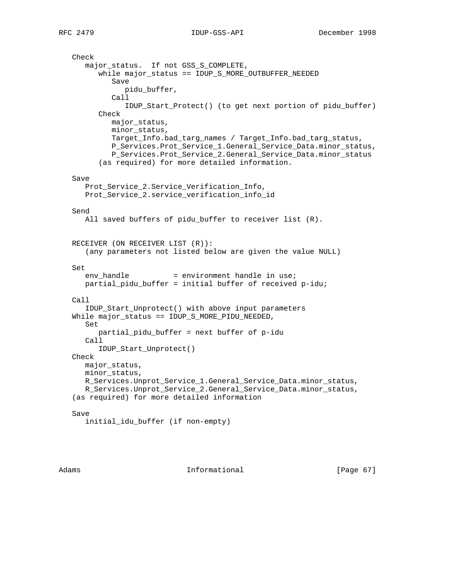```
 Check
    major_status. If not GSS_S_COMPLETE,
       while major_status == IDUP_S_MORE_OUTBUFFER_NEEDED
          Save
             pidu_buffer,
          Call
             IDUP_Start_Protect() (to get next portion of pidu_buffer)
       Check
          major_status,
          minor_status,
          Target_Info.bad_targ_names / Target_Info.bad_targ_status,
          P_Services.Prot_Service_1.General_Service_Data.minor_status,
          P_Services.Prot_Service_2.General_Service_Data.minor_status
       (as required) for more detailed information.
 Save
    Prot_Service_2.Service_Verification_Info,
    Prot_Service_2.service_verification_info_id
 Send
   All saved buffers of pidu_buffer to receiver list (R).
 RECEIVER (ON RECEIVER LIST (R)):
    (any parameters not listed below are given the value NULL)
 Set
   env handle = environment handle in use;
   partial_pidu_buffer = initial buffer of received p-idu;
 Call
    IDUP_Start_Unprotect() with above input parameters
 While major_status == IDUP_S_MORE_PIDU_NEEDED,
    Set
       partial_pidu_buffer = next buffer of p-idu
    Call
       IDUP_Start_Unprotect()
 Check
   major_status,
   minor_status,
   R_Services.Unprot_Service_1.General_Service_Data.minor_status,
   R_Services.Unprot_Service_2.General_Service_Data.minor_status,
 (as required) for more detailed information
 Save
    initial_idu_buffer (if non-empty)
```
Adams **Informational Informational** [Page 67]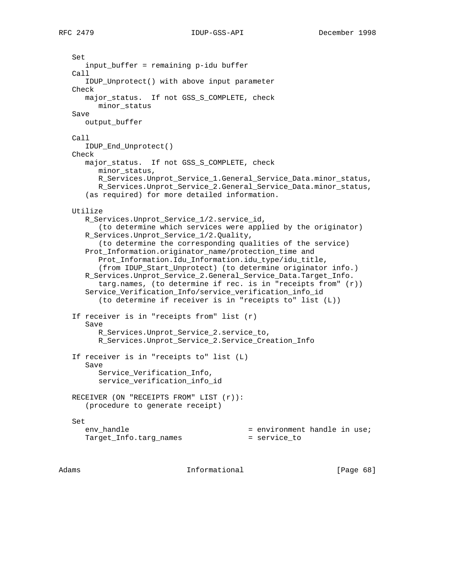Set

 input\_buffer = remaining p-idu buffer Call IDUP\_Unprotect() with above input parameter Check major\_status. If not GSS\_S\_COMPLETE, check minor\_status Save output\_buffer Call IDUP\_End\_Unprotect() Check major\_status. If not GSS\_S\_COMPLETE, check minor\_status, R\_Services.Unprot\_Service\_1.General\_Service\_Data.minor\_status, R\_Services.Unprot\_Service\_2.General\_Service\_Data.minor\_status, (as required) for more detailed information. Utilize R\_Services.Unprot\_Service\_1/2.service\_id, (to determine which services were applied by the originator) R\_Services.Unprot\_Service\_1/2.Quality, (to determine the corresponding qualities of the service) Prot\_Information.originator\_name/protection\_time and Prot\_Information.Idu\_Information.idu\_type/idu\_title, (from IDUP\_Start\_Unprotect) (to determine originator info.) R\_Services.Unprot\_Service\_2.General\_Service\_Data.Target\_Info. targ.names, (to determine if rec. is in "receipts from" (r)) Service\_Verification\_Info/service\_verification\_info\_id (to determine if receiver is in "receipts to" list (L)) If receiver is in "receipts from" list (r) Save R\_Services.Unprot\_Service\_2.service\_to, R\_Services.Unprot\_Service\_2.Service\_Creation\_Info If receiver is in "receipts to" list (L) Save Service Verification Info, service\_verification\_info\_id RECEIVER (ON "RECEIPTS FROM" LIST (r)): (procedure to generate receipt) Set env\_handle  $=$  environment handle in use; Target\_Info.targ\_names = service\_to

Adams **Informational Informational** [Page 68]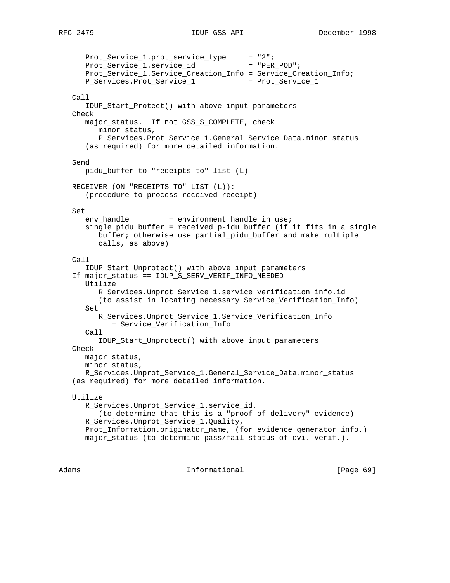Prot\_Service\_1.prot\_service\_type = "2"; Prot\_Service\_1.service\_id = "PER\_POD"; Prot\_Service\_1.Service\_Creation\_Info = Service\_Creation\_Info; P\_Services.Prot\_Service\_1 Call IDUP\_Start\_Protect() with above input parameters Check major\_status. If not GSS\_S\_COMPLETE, check minor status, P\_Services.Prot\_Service\_1.General\_Service\_Data.minor\_status (as required) for more detailed information. Send pidu\_buffer to "receipts to" list (L) RECEIVER (ON "RECEIPTS TO" LIST (L)): (procedure to process received receipt) Set  $env\_handle$  = environment handle in use; single\_pidu\_buffer = received p-idu buffer (if it fits in a single buffer; otherwise use partial\_pidu\_buffer and make multiple calls, as above) Call IDUP\_Start\_Unprotect() with above input parameters If major\_status == IDUP\_S\_SERV\_VERIF\_INFO\_NEEDED Utilize R\_Services.Unprot\_Service\_1.service\_verification\_info.id (to assist in locating necessary Service\_Verification\_Info) Set R\_Services.Unprot\_Service\_1.Service\_Verification\_Info = Service\_Verification\_Info Call IDUP\_Start\_Unprotect() with above input parameters Check major\_status, minor\_status, R Services. Unprot Service 1. General Service Data.minor status (as required) for more detailed information. Utilize R\_Services.Unprot\_Service\_1.service\_id, (to determine that this is a "proof of delivery" evidence) R\_Services.Unprot\_Service\_1.Quality, Prot\_Information.originator\_name, (for evidence generator info.) major\_status (to determine pass/fail status of evi. verif.).

Adams **Informational Informational** [Page 69]